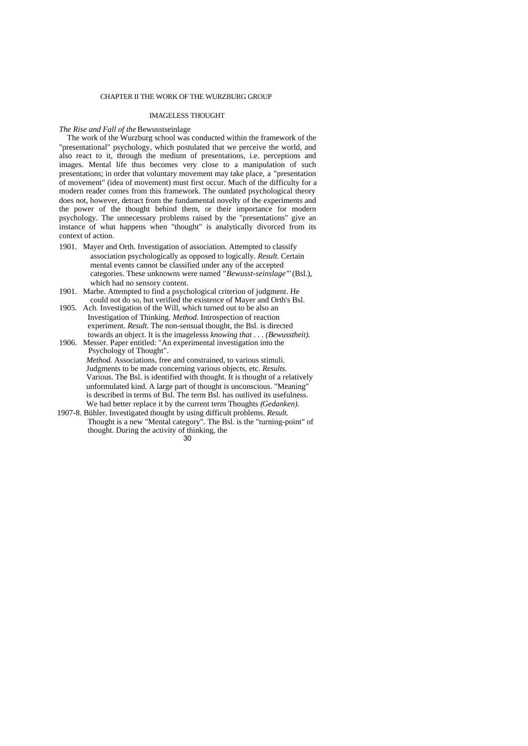### CHAPTER II THE WORK OF THE WURZBURG GROUP

# IMAGELESS THOUGHT

### *The Rise and Fall of the* Bewusstseinlage

The work of the Wurzburg school was conducted within the framework of the "presentational" psychology, which postulated that we perceive the world, and also react to it, through the medium of presentations, i.e. perceptions and images. Mental life thus becomes very close to a manipulation of such presentations; in order that voluntary movement may take place, a "presentation of movement" (idea of movement) must first occur. Much of the difficulty for a modern reader comes from this framework. The outdated psychological theory does not, however, detract from the fundamental novelty of the experiments and the power of the thought behind them, or their importance for modern psychology. The unnecessary problems raised by the "presentations" give an instance of what happens when "thought" is analytically divorced from its context of action.

- 1901. Mayer and Orth. Investigation of association. Attempted to classify association psychologically as opposed to logically. *Result.* Certain mental events cannot be classified under any of the accepted categories. These unknowns were named *"Bewusst-seinslage"'* (Bsl.), which had no sensory content.
- 1901. Marbe. Attempted to find a psychological criterion of judgment. He could not do so, but verified the existence of Mayer and Orth's Bsl.
- 1905. Ach. Investigation of the Will, which turned out to be also an Investigation of Thinking. *Method.* Introspection of reaction experiment. *Result.* The non-sensual thought, the Bsl. is directed towards an object. It is the imagelesss *knowing that . . . (Bewusstheit).*
- 1906. Messer. Paper entitled: "An experimental investigation into the Psychology of Thought". *Method.* Associations, free and constrained, to various stimuli. Judgments to be made concerning various objects, etc. *Results.* Various. The Bsl. is identified with thought. It is thought of a relatively unformulated kind. A large part of thought is unconscious. "Meaning" is described in terms of Bsl. The term Bsl. has outlived its usefulness. We had better replace it by the current term Thoughts *(Gedanken).*
- 1907-8. Bühler. Investigated thought by using difficult problems. *Result.* Thought is a new "Mental category". The Bsl. is the "turning-point" of thought. During the activity of thinking, the 30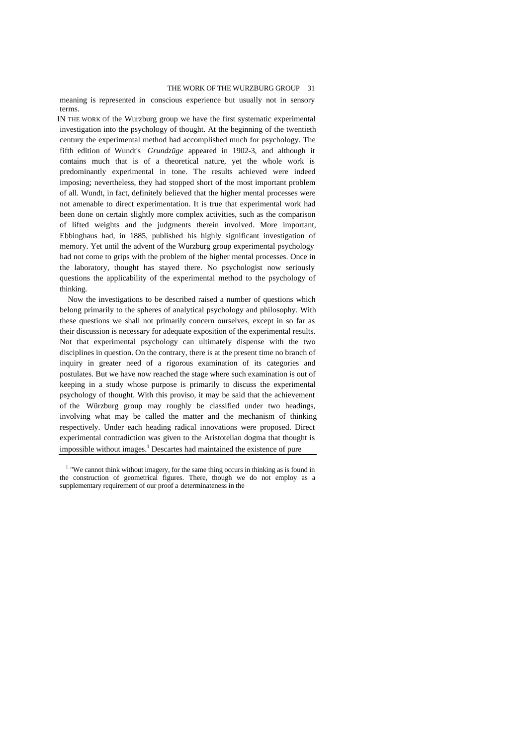meaning is represented in conscious experience but usually not in sensory terms.

IN THE WORK Of the Wurzburg group we have the first systematic experimental investigation into the psychology of thought. At the beginning of the twentieth century the experimental method had accomplished much for psychology. The fifth edition of Wundt's *Grundzüge* appeared in 1902-3, and although it contains much that is of a theoretical nature, yet the whole work is predominantly experimental in tone. The results achieved were indeed imposing; nevertheless, they had stopped short of the most important problem of all. Wundt, in fact, definitely believed that the higher mental processes were not amenable to direct experimentation. It is true that experimental work had been done on certain slightly more complex activities, such as the comparison of lifted weights and the judgments therein involved. More important, Ebbinghaus had, in 1885, published his highly significant investigation of memory. Yet until the advent of the Wurzburg group experimental psychology had not come to grips with the problem of the higher mental processes. Once in the laboratory, thought has stayed there. No psychologist now seriously questions the applicability of the experimental method to the psychology of thinking.

Now the investigations to be described raised a number of questions which belong primarily to the spheres of analytical psychology and philosophy. With these questions we shall not primarily concern ourselves, except in so far as their discussion is necessary for adequate exposition of the experimental results. Not that experimental psychology can ultimately dispense with the two disciplines in question. On the contrary, there is at the present time no branch of inquiry in greater need of a rigorous examination of its categories and postulates. But we have now reached the stage where such examination is out of keeping in a study whose purpose is primarily to discuss the experimental psychology of thought. With this proviso, it may be said that the achievement of the Würzburg group may roughly be classified under two headings, involving what may be called the matter and the mechanism of thinking respectively. Under each heading radical innovations were proposed. Direct experimental contradiction was given to the Aristotelian dogma that thought is impossible without images.<sup>1</sup> Descartes had maintained the existence of pure

 $1$  "We cannot think without imagery, for the same thing occurs in thinking as is found in the construction of geometrical figures. There, though we do not employ as a supplementary requirement of our proof a determinateness in the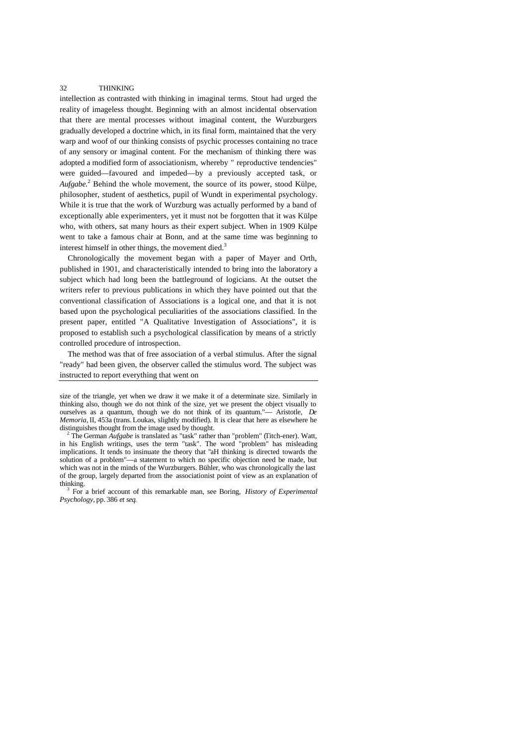intellection as contrasted with thinking in imaginal terms. Stout had urged the reality of imageless thought. Beginning with an almost incidental observation that there are mental processes without imaginal content, the Wurzburgers gradually developed a doctrine which, in its final form, maintained that the very warp and woof of our thinking consists of psychic processes containing no trace of any sensory or imaginal content. For the mechanism of thinking there was adopted a modified form of associationism, whereby " reproductive tendencies" were guided—favoured and impeded—by a previously accepted task, or *Aufgabe.*<sup>2</sup> Behind the whole movement, the source of its power, stood Külpe, philosopher, student of aesthetics, pupil of Wundt in experimental psychology. While it is true that the work of Wurzburg was actually performed by a band of exceptionally able experimenters, yet it must not be forgotten that it was Külpe who, with others, sat many hours as their expert subject. When in 1909 Külpe went to take a famous chair at Bonn, and at the same time was beginning to interest himself in other things, the movement died.<sup>3</sup>

Chronologically the movement began with a paper of Mayer and Orth, published in 1901, and characteristically intended to bring into the laboratory a subject which had long been the battleground of logicians. At the outset the writers refer to previous publications in which they have pointed out that the conventional classification of Associations is a logical one, and that it is not based upon the psychological peculiarities of the associations classified. In the present paper, entitled "A Qualitative Investigation of Associations", it is proposed to establish such a psychological classification by means of a strictly controlled procedure of introspection.

The method was that of free association of a verbal stimulus. After the signal "ready" had been given, the observer called the stimulus word. The subject was instructed to report everything that went on

 $2^2$  The German *Aufgabe* is translated as "task" rather than "problem" (Titch-ener). Watt, in his English writings, uses the term "task". The word "problem" has misleading implications. It tends to insinuate the theory that "aH thinking is directed towards the solution of a problem"—a statement to which no specific objection need be made, but which was not in the minds of the Wurzburgers. Bühler, who was chronologically the last of the group, largely departed from the associationist point of view as an explanation of thinking.

 For a brief account of this remarkable man, see Boring, *History of Experimental Psychology,* pp. 386 *et seq.*

size of the triangle, yet when we draw it we make it of a determinate size. Similarly in thinking also, though we do not think of the size, yet we present the object visually to ourselves as a quantum, though we do not think of its quantum."— Aristotle, *De Memoria,* II, 453a (trans. Loukas, slightly modified). It is clear that here as elsewhere he distinguishes thought from the image used by thought.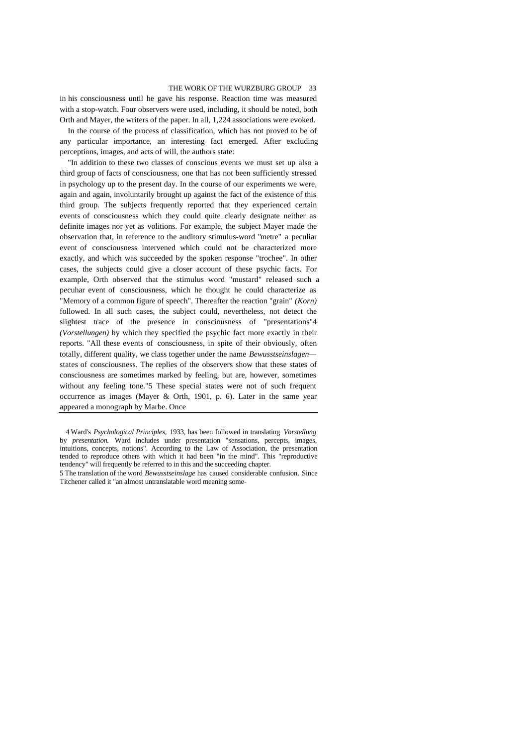in his consciousness until he gave his response. Reaction time was measured with a stop-watch. Four observers were used, including, it should be noted, both Orth and Mayer, the writers of the paper. In all, 1,224 associations were evoked.

In the course of the process of classification, which has not proved to be of any particular importance, an interesting fact emerged. After excluding perceptions, images, and acts of will, the authors state:

"In addition to these two classes of conscious events we must set up also a third group of facts of consciousness, one that has not been sufficiently stressed in psychology up to the present day. In the course of our experiments we were, again and again, involuntarily brought up against the fact of the existence of this third group. The subjects frequently reported that they experienced certain events of consciousness which they could quite clearly designate neither as definite images nor yet as volitions. For example, the subject Mayer made the observation that, in reference to the auditory stimulus-word "metre" a peculiar event of consciousness intervened which could not be characterized more exactly, and which was succeeded by the spoken response "trochee". In other cases, the subjects could give a closer account of these psychic facts. For example, Orth observed that the stimulus word "mustard" released such a pecuhar event of consciousness, which he thought he could characterize as "Memory of a common figure of speech". Thereafter the reaction "grain" *(Korn)* followed. In all such cases, the subject could, nevertheless, not detect the slightest trace of the presence in consciousness of "presentations"4 *(Vorstellungen)* by which they specified the psychic fact more exactly in their reports. "All these events of consciousness, in spite of their obviously, often totally, different quality, we class together under the name *Bewusstseinslagen* states of consciousness. The replies of the observers show that these states of consciousness are sometimes marked by feeling, but are, however, sometimes without any feeling tone."5 These special states were not of such frequent occurrence as images (Mayer & Orth, 1901, p. 6). Later in the same year appeared a monograph by Marbe. Once

<sup>4</sup> Ward's *Psychological Principles,* 1933, has been followed in translating *Vorstellung* by *presentation.* Ward includes under presentation "sensations, percepts, images, intuitions, concepts, notions". According to the Law of Association, the presentation tended to reproduce others with which it had been "in the mind". This "reproductive tendency" will frequently be referred to in this and the succeeding chapter.

<sup>5</sup> The translation of the word *Bewusstseinslage* has caused considerable confusion. Since Titchener called it "an almost untranslatable word meaning some-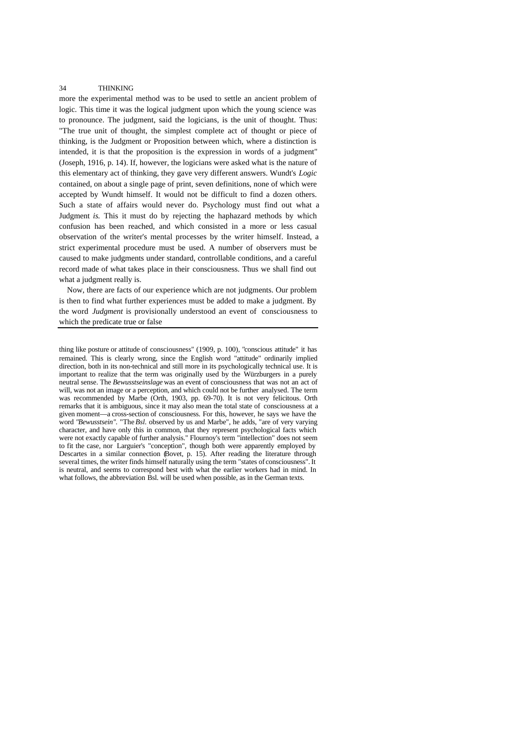more the experimental method was to be used to settle an ancient problem of logic. This time it was the logical judgment upon which the young science was to pronounce. The judgment, said the logicians, is the unit of thought. Thus: "The true unit of thought, the simplest complete act of thought or piece of thinking, is the Judgment or Proposition between which, where a distinction is intended, it is that the proposition is the expression in words of a judgment" (Joseph, 1916, p. 14). If, however, the logicians were asked what is the nature of this elementary act of thinking, they gave very different answers. Wundt's *Logic* contained, on about a single page of print, seven definitions, none of which were accepted by Wundt himself. It would not be difficult to find a dozen others. Such a state of affairs would never do. Psychology must find out what a Judgment *is.* This it must do by rejecting the haphazard methods by which confusion has been reached, and which consisted in a more or less casual observation of the writer's mental processes by the writer himself. Instead, a strict experimental procedure must be used. A number of observers must be caused to make judgments under standard, controllable conditions, and a careful record made of what takes place in their consciousness. Thus we shall find out what a judgment really is.

Now, there are facts of our experience which are not judgments. Our problem is then to find what further experiences must be added to make a judgment. By the word *Judgment* is provisionally understood an event of consciousness to which the predicate true or false

thing like posture or attitude of consciousness" (1909, p. 100), "conscious attitude" it has remained. This is clearly wrong, since the English word "attitude" ordinarily implied direction, both in its non-technical and still more in its psychologically technical use. It is important to realize that the term was originally used by the Würzburgers in a purely neutral sense. The *Bewusstseinslage* was an event of consciousness that was not an act of will, was not an image or a perception, and which could not be further analysed. The term was recommended by Marbe (Orth, 1903, pp. 69-70). It is not very felicitous. Orth remarks that it is ambiguous, since it may also mean the total state of consciousness at a given moment—a cross-section of consciousness. For this, however, he says we have the word *"Bewusstsein".* "The *Bsl.* observed by us and Marbe", he adds, "are of very varying character, and have only this in common, that they represent psychological facts which were not exactly capable of further analysis." Flournoy's term "intellection" does not seem to fit the case, nor Larguier's "conception", though both were apparently employed by Descartes in a similar connection (Bovet, p. 15). After reading the literature through several times, the writer finds himself naturally using the term "states of consciousness' is neutral, and seems to correspond best with what the earlier workers had in mind. In what follows, the abbreviation Bsl. will be used when possible, as in the German texts.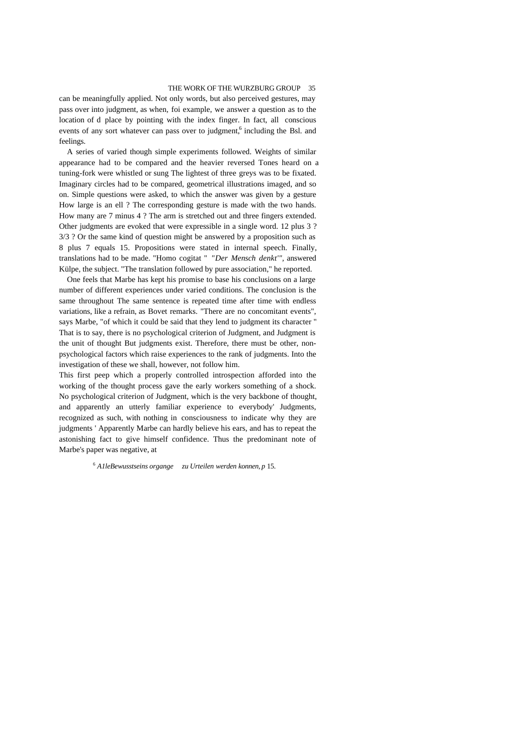can be meaningfully applied. Not only words, but also perceived gestures, may pass over into judgment, as when, foi example, we answer a question as to the location of d place by pointing with the index finger. In fact, all conscious events of any sort whatever can pass over to judgment,<sup>6</sup> including the Bsl. and feelings.

A series of varied though simple experiments followed. Weights of similar appearance had to be compared and the heavier reversed Tones heard on a tuning-fork were whistled or sung The lightest of three greys was to be fixated. Imaginary circles had to be compared, geometrical illustrations imaged, and so on. Simple questions were asked, to which the answer was given by a gesture How large is an ell ? The corresponding gesture is made with the two hands. How many are 7 minus 4 ? The arm is stretched out and three fingers extended. Other judgments are evoked that were expressible in a single word. 12 plus 3 ? 3/3 ? Or the same kind of question might be answered by a proposition such as 8 plus 7 equals 15. Propositions were stated in internal speech. Finally, translations had to be made. "Homo cogitat " *"Der Mensch denkt'",* answered Külpe, the subject. "The translation followed by pure association," he reported.

One feels that Marbe has kept his promise to base his conclusions on a large number of different experiences under varied conditions. The conclusion is the same throughout The same sentence is repeated time after time with endless variations, like a refrain, as Bovet remarks. "There are no concomitant events", says Marbe, "of which it could be said that they lend to judgment its character " That is to say, there is no psychological criterion of Judgment, and Judgment is the unit of thought But judgments exist. Therefore, there must be other, nonpsychological factors which raise experiences to the rank of judgments. Into the investigation of these we shall, however, not follow him.

This first peep which a properly controlled introspection afforded into the working of the thought process gave the early workers something of a shock. No psychological criterion of Judgment, which is the very backbone of thought, and apparently an utterly familiar experience to everybody' Judgments, recognized as such, with nothing in consciousness to indicate why they are judgments ' Apparently Marbe can hardly believe his ears, and has to repeat the astonishing fact to give himself confidence. Thus the predominant note of Marbe's paper was negative, at

6  *A1leBewusstseins organge zu Urteilen werden konnen, p* 15.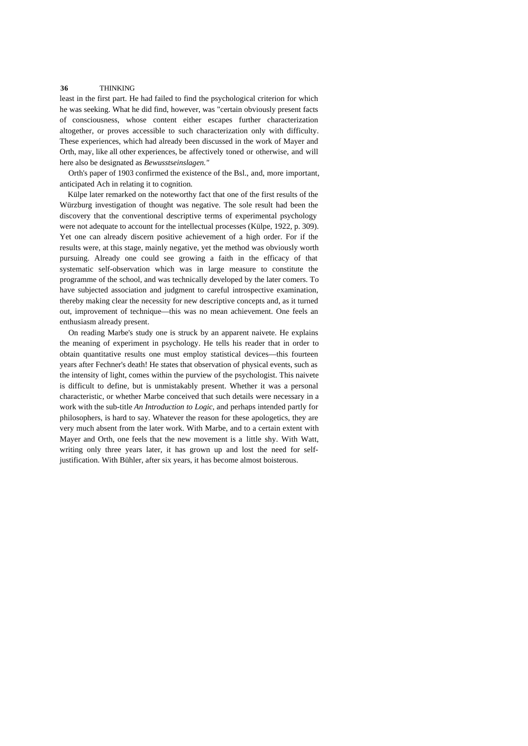least in the first part. He had failed to find the psychological criterion for which he was seeking. What he did find, however, was "certain obviously present facts of consciousness, whose content either escapes further characterization altogether, or proves accessible to such characterization only with difficulty. These experiences, which had already been discussed in the work of Mayer and Orth, may, like all other experiences, be affectively toned or otherwise, and will here also be designated as *Bewusstseinslagen."*

Orth's paper of 1903 confirmed the existence of the Bsl., and, more important, anticipated Ach in relating it to cognition.

Külpe later remarked on the noteworthy fact that one of the first results of the Würzburg investigation of thought was negative. The sole result had been the discovery that the conventional descriptive terms of experimental psychology were not adequate to account for the intellectual processes (Külpe, 1922, p. 309). Yet one can already discern positive achievement of a high order. For if the results were, at this stage, mainly negative, yet the method was obviously worth pursuing. Already one could see growing a faith in the efficacy of that systematic self-observation which was in large measure to constitute the programme of the school, and was technically developed by the later comers. To have subjected association and judgment to careful introspective examination, thereby making clear the necessity for new descriptive concepts and, as it turned out, improvement of technique—this was no mean achievement. One feels an enthusiasm already present.

On reading Marbe's study one is struck by an apparent naivete. He explains the meaning of experiment in psychology. He tells his reader that in order to obtain quantitative results one must employ statistical devices—this fourteen years after Fechner's death! He states that observation of physical events, such as the intensity of light, comes within the purview of the psychologist. This naivete is difficult to define, but is unmistakably present. Whether it was a personal characteristic, or whether Marbe conceived that such details were necessary in a work with the sub-title *An Introduction to Logic,* and perhaps intended partly for philosophers, is hard to say. Whatever the reason for these apologetics, they are very much absent from the later work. With Marbe, and to a certain extent with Mayer and Orth, one feels that the new movement is a little shy. With Watt, writing only three years later, it has grown up and lost the need for selfjustification. With Bühler, after six years, it has become almost boisterous.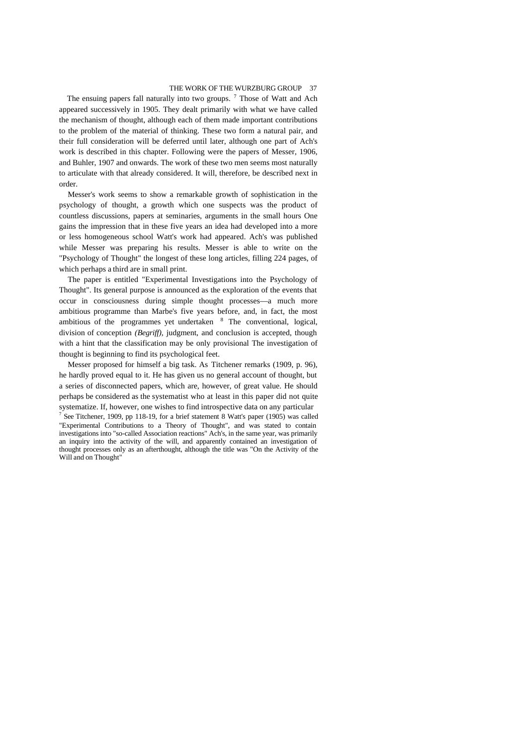The ensuing papers fall naturally into two groups. <sup>7</sup> Those of Watt and Ach appeared successively in 1905. They dealt primarily with what we have called the mechanism of thought, although each of them made important contributions to the problem of the material of thinking. These two form a natural pair, and their full consideration will be deferred until later, although one part of Ach's work is described in this chapter. Following were the papers of Messer, 1906, and Buhler, 1907 and onwards. The work of these two men seems most naturally to articulate with that already considered. It will, therefore, be described next in order.

Messer's work seems to show a remarkable growth of sophistication in the psychology of thought, a growth which one suspects was the product of countless discussions, papers at seminaries, arguments in the small hours One gains the impression that in these five years an idea had developed into a more or less homogeneous school Watt's work had appeared. Ach's was published while Messer was preparing his results. Messer is able to write on the "Psychology of Thought" the longest of these long articles, filling 224 pages, of which perhaps a third are in small print.

The paper is entitled "Experimental Investigations into the Psychology of Thought". Its general purpose is announced as the exploration of the events that occur in consciousness during simple thought processes—a much more ambitious programme than Marbe's five years before, and, in fact, the most ambitious of the programmes yet undertaken  $8$  The conventional, logical, division of conception *(Begriff),* judgment, and conclusion is accepted, though with a hint that the classification may be only provisional The investigation of thought is beginning to find its psychological feet.

Messer proposed for himself a big task. As Titchener remarks (1909, p. 96), he hardly proved equal to it. He has given us no general account of thought, but a series of disconnected papers, which are, however, of great value. He should perhaps be considered as the systematist who at least in this paper did not quite systematize. If, however, one wishes to find introspective data on any particular <sup>7</sup> See Titchener, 1909, pp 118-19, for a brief statement 8 Watt's paper (1905) was called "Experimental Contributions to a Theory of Thought", and was stated to contain

investigations into "so-called Association reactions" Ach's, in the same year, was primarily an inquiry into the activity of the will, and apparently contained an investigation of thought processes only as an afterthought, although the title was "On the Activity of the Will and on Thought"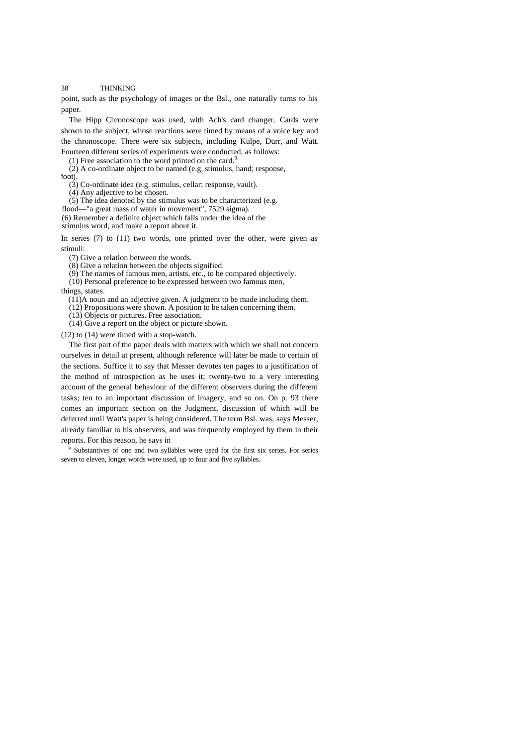point, such as the psychology of images or the Bsl., one naturally turns to his paper.

The Hipp Chronoscope was used, with Ach's card changer. Cards were shown to the subject, whose reactions were timed by means of a voice key and the chronoscope. There were six subjects, including Külpe, Dürr, and Watt. Fourteen different series of experiments were conducted, as follows:

(1) Free association to the word printed on the card. $\frac{9}{2}$ 

(2) A co-ordinate object to be named (e.g. stimulus, hand; response,

foot).

(3) Co-ordinate idea (e.g. stimulus, cellar; response, vault).

(4) Any adjective to be chosen.

(5) The idea denoted by the stimulus was to be characterized (e.g.

flood—"a great mass of water in movement", 7529 sigma).

(6) Remember a definite object which falls under the idea of the stimulus word, and make a report about it.

In series (7) to (11) two words, one printed over the other, were given as stimuli:

(7) Give a relation between the words.

(8) Give a relation between the objects signified.

(9) The names of famous men, artists, etc., to be compared objectively.

(10) Personal preference to be expressed between two famous men, things, states.

(11)A noun and an adjective given. A judgment to be made including them.

(12) Propositions were shown. A position to be taken concerning them.

(13) Objects or pictures. Free association.

(14) Give a report on the object or picture shown.

(12) to (14) were timed with a stop-watch.

The first part of the paper deals with matters with which we shall not concern ourselves in detail at present, although reference will later be made to certain of the sections. Suffice it to say that Messer devotes ten pages to a justification of the method of introspection as he uses it; twenty-two to a very interesting account of the general behaviour of the different observers during the different tasks; ten to an important discussion of imagery, and so on. On p. 93 there comes an important section on the Judgment, discussion of which will be deferred until Watt's paper is being considered. The term Bsl. was, says Messer, already familiar to his observers, and was frequently employed by them in their reports. For this reason, he says in

<sup>9</sup> Substantives of one and two syllables were used for the first six series. For series seven to eleven, longer words were used, up to four and five syllables.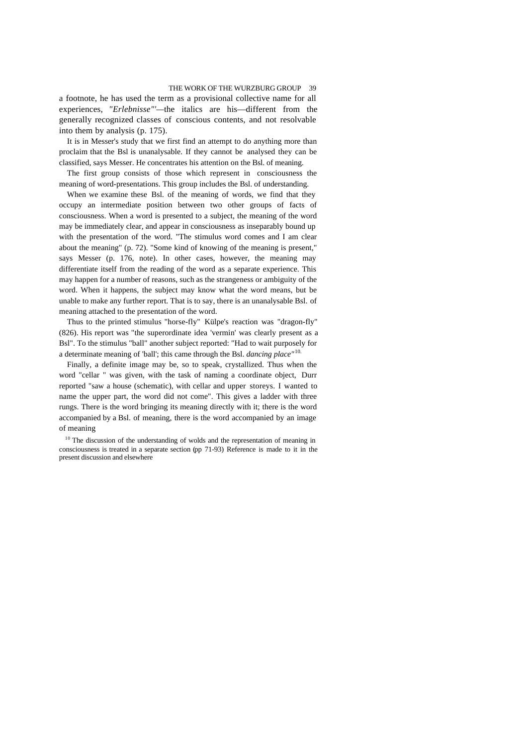a footnote, he has used the term as a provisional collective name for all experiences, *"Erlebnisse"'—*the italics are his—different from the generally recognized classes of conscious contents, and not resolvable into them by analysis (p. 175).

It is in Messer's study that we first find an attempt to do anything more than proclaim that the Bsl is unanalysable. If they cannot be analysed they can be classified, says Messer. He concentrates his attention on the Bsl. of meaning.

The first group consists of those which represent in consciousness the meaning of word-presentations. This group includes the Bsl. of understanding.

When we examine these Bsl. of the meaning of words, we find that they occupy an intermediate position between two other groups of facts of consciousness. When a word is presented to a subject, the meaning of the word may be immediately clear, and appear in consciousness as inseparably bound up with the presentation of the word. "The stimulus word comes and I am clear about the meaning" (p. 72). "Some kind of knowing of the meaning is present," says Messer (p. 176, note). In other cases, however, the meaning may differentiate itself from the reading of the word as a separate experience. This may happen for a number of reasons, such as the strangeness or ambiguity of the word. When it happens, the subject may know what the word means, but be unable to make any further report. That is to say, there is an unanalysable Bsl. of meaning attached to the presentation of the word.

Thus to the printed stimulus "horse-fly" Külpe's reaction was "dragon-fly" (826). His report was "the superordinate idea 'vermin' was clearly present as a Bsl". To the stimulus "ball" another subject reported: "Had to wait purposely for a determinate meaning of 'ball'; this came through the Bsl. *dancing place"*10.

Finally, a definite image may be, so to speak, crystallized. Thus when the word "cellar " was given, with the task of naming a coordinate object, Durr reported "saw a house (schematic), with cellar and upper storeys. I wanted to name the upper part, the word did not come". This gives a ladder with three rungs. There is the word bringing its meaning directly with it; there is the word accompanied by a Bsl. of meaning, there is the word accompanied by an image of meaning

 $10$  The discussion of the understanding of wolds and the representation of meaning in consciousness is treated in a separate section (pp 71-93) Reference is made to it in the present discussion and elsewhere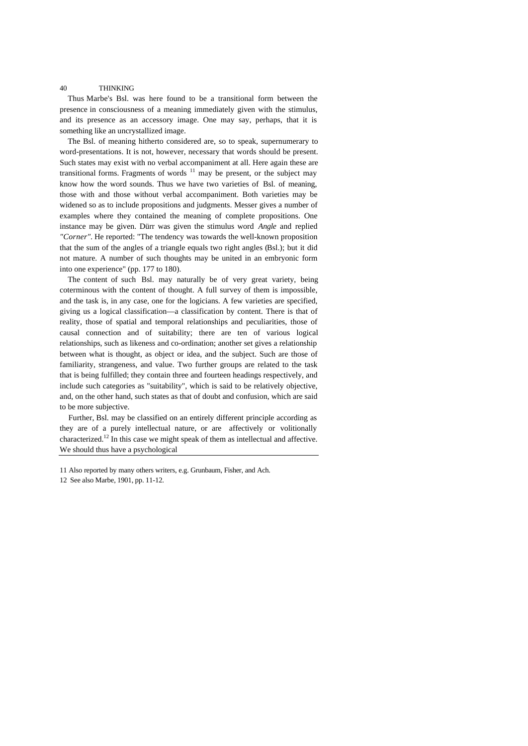Thus Marbe's Bsl. was here found to be a transitional form between the presence in consciousness of a meaning immediately given with the stimulus, and its presence as an accessory image. One may say, perhaps, that it is something like an uncrystallized image.

The Bsl. of meaning hitherto considered are, so to speak, supernumerary to word-presentations. It is not, however, necessary that words should be present. Such states may exist with no verbal accompaniment at all. Here again these are transitional forms. Fragments of words  $11$  may be present, or the subject may know how the word sounds. Thus we have two varieties of Bsl. of meaning, those with and those without verbal accompaniment. Both varieties may be widened so as to include propositions and judgments. Messer gives a number of examples where they contained the meaning of complete propositions. One instance may be given. Dürr was given the stimulus word *Angle* and replied *"Corner".* He reported: "The tendency was towards the well-known proposition that the sum of the angles of a triangle equals two right angles (Bsl.); but it did not mature. A number of such thoughts may be united in an embryonic form into one experience" (pp. 177 to 180).

The content of such Bsl. may naturally be of very great variety, being coterminous with the content of thought. A full survey of them is impossible, and the task is, in any case, one for the logicians. A few varieties are specified, giving us a logical classification—a classification by content. There is that of reality, those of spatial and temporal relationships and peculiarities, those of causal connection and of suitability; there are ten of various logical relationships, such as likeness and co-ordination; another set gives a relationship between what is thought, as object or idea, and the subject. Such are those of familiarity, strangeness, and value. Two further groups are related to the task that is being fulfilled; they contain three and fourteen headings respectively, and include such categories as "suitability", which is said to be relatively objective, and, on the other hand, such states as that of doubt and confusion, which are said to be more subjective.

Further, Bsl. may be classified on an entirely different principle according as they are of a purely intellectual nature, or are affectively or volitionally characterized.<sup>12</sup> In this case we might speak of them as intellectual and affective. We should thus have a psychological

<sup>11</sup> Also reported by many others writers, e.g. Grunbaum, Fisher, and Ach.

<sup>12</sup> See also Marbe, 1901, pp. 11-12.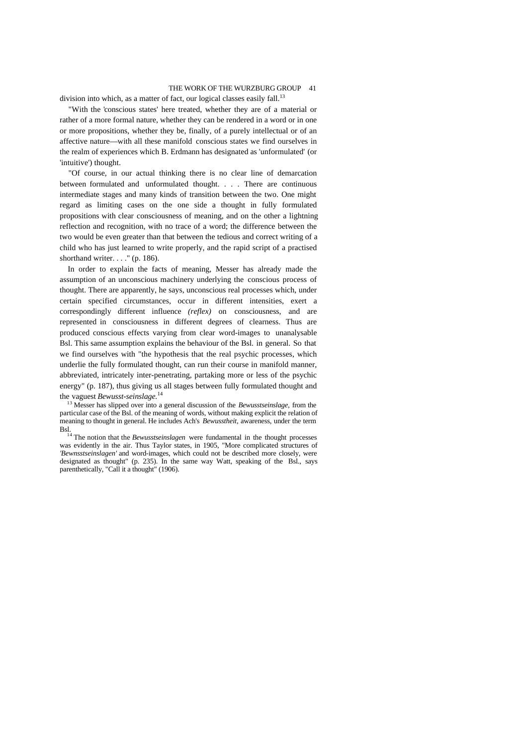division into which, as a matter of fact, our logical classes easily fall.<sup>13</sup>

"With the 'conscious states' here treated, whether they are of a material or rather of a more formal nature, whether they can be rendered in a word or in one or more propositions, whether they be, finally, of a purely intellectual or of an affective nature—with all these manifold conscious states we find ourselves in the realm of experiences which B. Erdmann has designated as 'unformulated' (or 'intuitive') thought.

"Of course, in our actual thinking there is no clear line of demarcation between formulated and unformulated thought. . . . There are continuous intermediate stages and many kinds of transition between the two. One might regard as limiting cases on the one side a thought in fully formulated propositions with clear consciousness of meaning, and on the other a lightning reflection and recognition, with no trace of a word; the difference between the two would be even greater than that between the tedious and correct writing of a child who has just learned to write properly, and the rapid script of a practised shorthand writer.  $\dots$ " (p. 186).

In order to explain the facts of meaning, Messer has already made the assumption of an unconscious machinery underlying the conscious process of thought. There are apparently, he says, unconscious real processes which, under certain specified circumstances, occur in different intensities, exert a correspondingly different influence *(reflex)* on consciousness, and are represented in consciousness in different degrees of clearness. Thus are produced conscious effects varying from clear word-images to unanalysable Bsl. This same assumption explains the behaviour of the Bsl. in general. So that we find ourselves with "the hypothesis that the real psychic processes, which underlie the fully formulated thought, can run their course in manifold manner, abbreviated, intricately inter-penetrating, partaking more or less of the psychic energy" (p. 187), thus giving us all stages between fully formulated thought and the vaguest *Bewusst-seinslage.*<sup>14</sup>

<sup>13</sup> Messer has slipped over into a general discussion of the *Bewusstseinslage,* from the particular case of the Bsl. of the meaning of words, without making explicit the relation of meaning to thought in general. He includes Ach's *Bewusstheit,* awareness, under the term Bsl. <sup>14</sup> The notion that the *Bewusstseinslagen* were fundamental in the thought processes

was evidently in the air. Thus Taylor states, in 1905, "More complicated structures of *'Bewnsstseinslagen'* and word-images, which could not be described more closely, were designated as thought" (p. 235). In the same way Watt, speaking of the Bsl., says parenthetically, "Call it a thought" (1906).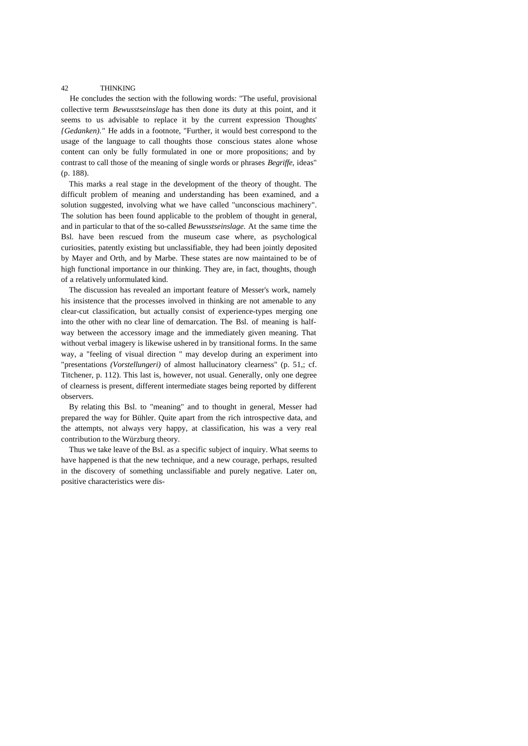He concludes the section with the following words: "The useful, provisional collective term *Bewusstseinslage* has then done its duty at this point, and it seems to us advisable to replace it by the current expression Thoughts' *{Gedanken)."* He adds in a footnote, "Further, it would best correspond to the usage of the language to call thoughts those conscious states alone whose content can only be fully formulated in one or more propositions; and by contrast to call those of the meaning of single words or phrases *Begriffe,* ideas" (p. 188).

This marks a real stage in the development of the theory of thought. The difficult problem of meaning and understanding has been examined, and a solution suggested, involving what we have called "unconscious machinery". The solution has been found applicable to the problem of thought in general, and in particular to that of the so-called *Bewusstseinslage.* At the same time the Bsl. have been rescued from the museum case where, as psychological curiosities, patently existing but unclassifiable, they had been jointly deposited by Mayer and Orth, and by Marbe. These states are now maintained to be of high functional importance in our thinking. They are, in fact, thoughts, though of a relatively unformulated kind.

The discussion has revealed an important feature of Messer's work, namely his insistence that the processes involved in thinking are not amenable to any clear-cut classification, but actually consist of experience-types merging one into the other with no clear line of demarcation. The Bsl. of meaning is halfway between the accessory image and the immediately given meaning. That without verbal imagery is likewise ushered in by transitional forms. In the same way, a "feeling of visual direction " may develop during an experiment into "presentations *(Vorstellungeri)* of almost hallucinatory clearness" (p. 51,; cf. Titchener, p. 112). This last is, however, not usual. Generally, only one degree of clearness is present, different intermediate stages being reported by different observers.

By relating this Bsl. to "meaning" and to thought in general, Messer had prepared the way for Bühler. Quite apart from the rich introspective data, and the attempts, not always very happy, at classification, his was a very real contribution to the Würzburg theory.

Thus we take leave of the Bsl. as a specific subject of inquiry. What seems to have happened is that the new technique, and a new courage, perhaps, resulted in the discovery of something unclassifiable and purely negative. Later on, positive characteristics were dis-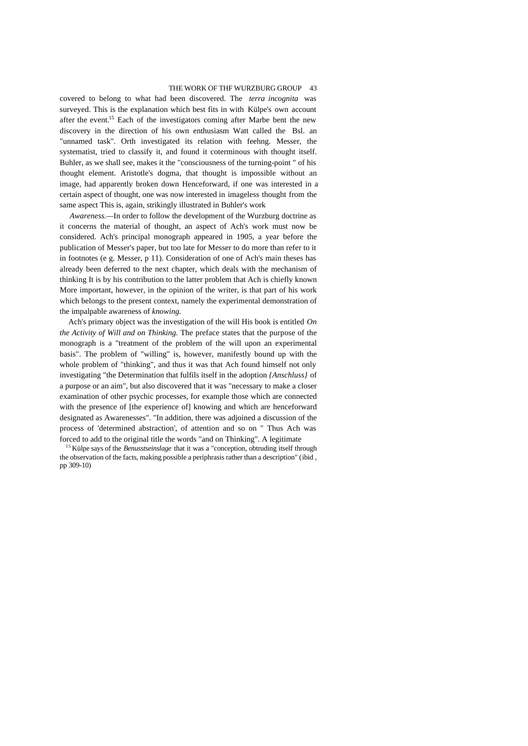covered to belong to what had been discovered. The *terra incognita* was surveyed. This is the explanation which best fits in with Külpe's own account after the event.<sup>15</sup> Each of the investigators coming after Marbe bent the new discovery in the direction of his own enthusiasm Watt called the Bsl. an "unnamed task". Orth investigated its relation with feehng. Messer, the systematist, tried to classify it, and found it coterminous with thought itself. Buhler, as we shall see, makes it the "consciousness of the turning-point " of his thought element. Aristotle's dogma, that thought is impossible without an image, had apparently broken down Henceforward, if one was interested in a certain aspect of thought, one was now interested in imageless thought from the same aspect This is, again, strikingly illustrated in Buhler's work

*Awareness.—*In order to follow the development of the Wurzburg doctrine as it concerns the material of thought, an aspect of Ach's work must now be considered. Ach's principal monograph appeared in 1905, a year before the publication of Messer's paper, but too late for Messer to do more than refer to it in footnotes (e g. Messer, p 11). Consideration of one of Ach's main theses has already been deferred to the next chapter, which deals with the mechanism of thinking It is by his contribution to the latter problem that Ach is chiefly known More important, however, in the opinion of the writer, is that part of his work which belongs to the present context, namely the experimental demonstration of the impalpable awareness of *knowing.*

Ach's primary object was the investigation of the will His book is entitled *On the Activity of Will and on Thinking.* The preface states that the purpose of the monograph is a "treatment of the problem of the will upon an experimental basis". The problem of "willing" is, however, manifestly bound up with the whole problem of "thinking", and thus it was that Ach found himself not only investigating "the Determination that fulfils itself in the adoption *{Anschluss}* of a purpose or an aim", but also discovered that it was "necessary to make a closer examination of other psychic processes, for example those which are connected with the presence of [the experience of] knowing and which are henceforward designated as Awarenesses". "In addition, there was adjoined a discussion of the process of 'determined abstraction', of attention and so on " Thus Ach was forced to add to the original title the words "and on Thinking". A legitimate

<sup>5</sup> Külpe says of the *Benusstseinslage* that it was a "conception, obtruding itself through the observation of the facts, making possible a periphrasis rather than a description" (ibid , pp 309-10)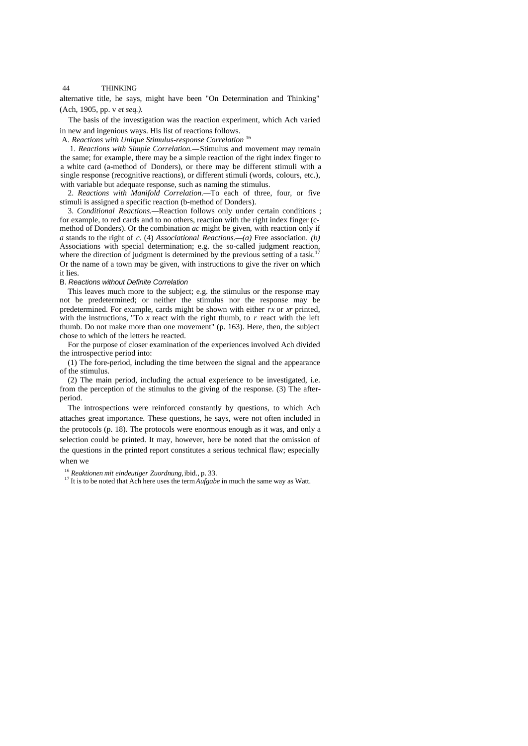alternative title, he says, might have been "On Determination and Thinking" (Ach, 1905, pp. v *et seq.).*

The basis of the investigation was the reaction experiment, which Ach varied in new and ingenious ways. His list of reactions follows.

A. *Reactions with Unique Stimulus-response Correlation* <sup>16</sup>

1. *Reactions with Simple Correlation.—*Stimulus and movement may remain the same; for example, there may be a simple reaction of the right index finger to a white card (a-method of Donders), or there may be different stimuli with a single response (recognitive reactions), or different stimuli (words, colours, etc.), with variable but adequate response, such as naming the stimulus.

2. *Reactions with Manifold Correlation.—*To each of three, four, or five stimuli is assigned a specific reaction (b-method of Donders).

3. *Conditional Reactions.—*Reaction follows only under certain conditions ; for example, to red cards and to no others, reaction with the right index finger (cmethod of Donders). Or the combination *ac* might be given, with reaction only if *a* stands to the right of *c.* (4) *Associational Reactions.—(a)* Free association. *(b)* Associations with special determination; e.g. the so-called judgment reaction, where the direction of judgment is determined by the previous setting of a task.<sup>17</sup> Or the name of a town may be given, with instructions to give the river on which it lies.

#### B. *Reactions without Definite Correlation*

This leaves much more to the subject; e.g. the stimulus or the response may not be predetermined; or neither the stimulus nor the response may be predetermined. For example, cards might be shown with either *rx* or *xr* printed, with the instructions, "To  $x$  react with the right thumb, to  $r$  react with the left thumb. Do not make more than one movement" (p. 163). Here, then, the subject chose to which of the letters he reacted.

For the purpose of closer examination of the experiences involved Ach divided the introspective period into:

(1) The fore-period, including the time between the signal and the appearance of the stimulus.

(2) The main period, including the actual experience to be investigated, i.e. from the perception of the stimulus to the giving of the response. (3) The afterperiod.

The introspections were reinforced constantly by questions, to which Ach attaches great importance. These questions, he says, were not often included in the protocols (p. 18). The protocols were enormous enough as it was, and only a selection could be printed. It may, however, here be noted that the omission of the questions in the printed report constitutes a serious technical flaw; especially when we

<sup>16</sup> *Reaktionen mit eindeutiger Zuordnung,* ibid., p. 33.

<sup>17</sup> It is to be noted that Ach here uses the term *Aufgabe* in much the same way as Watt.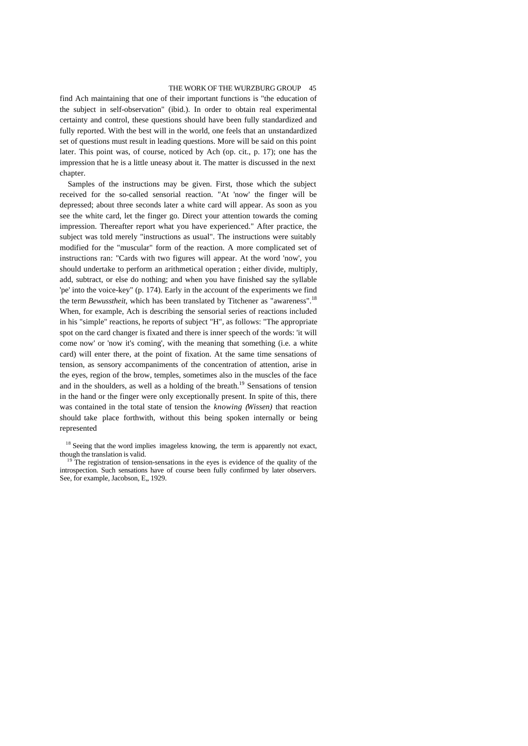find Ach maintaining that one of their important functions is "the education of the subject in self-observation" (ibid.). In order to obtain real experimental certainty and control, these questions should have been fully standardized and fully reported. With the best will in the world, one feels that an unstandardized set of questions must result in leading questions. More will be said on this point later. This point was, of course, noticed by Ach (op. cit., p. 17); one has the impression that he is a little uneasy about it. The matter is discussed in the next chapter.

Samples of the instructions may be given. First, those which the subject received for the so-called sensorial reaction. "At 'now' the finger will be depressed; about three seconds later a white card will appear. As soon as you see the white card, let the finger go. Direct your attention towards the coming impression. Thereafter report what you have experienced." After practice, the subject was told merely "instructions as usual". The instructions were suitably modified for the "muscular" form of the reaction. A more complicated set of instructions ran: "Cards with two figures will appear. At the word 'now', you should undertake to perform an arithmetical operation ; either divide, multiply, add, subtract, or else do nothing; and when you have finished say the syllable 'pe' into the voice-key" (p. 174). Early in the account of the experiments we find the term *Bewusstheit*, which has been translated by Titchener as "awareness".<sup>18</sup> When, for example, Ach is describing the sensorial series of reactions included in his "simple" reactions, he reports of subject "H", as follows: "The appropriate spot on the card changer is fixated and there is inner speech of the words: 'it will come now' or 'now it's coming', with the meaning that something (i.e. a white card) will enter there, at the point of fixation. At the same time sensations of tension, as sensory accompaniments of the concentration of attention, arise in the eyes, region of the brow, temples, sometimes also in the muscles of the face and in the shoulders, as well as a holding of the breath.<sup>19</sup> Sensations of tension in the hand or the finger were only exceptionally present. In spite of this, there was contained in the total state of tension the *knowing (Wissen)* that reaction should take place forthwith, without this being spoken internally or being represented

<sup>18</sup> Seeing that the word implies imageless knowing, the term is apparently not exact, though the translation is valid.

The registration of tension-sensations in the eyes is evidence of the quality of the introspection. Such sensations have of course been fully confirmed by later observers. See, for example, Jacobson, E., 1929.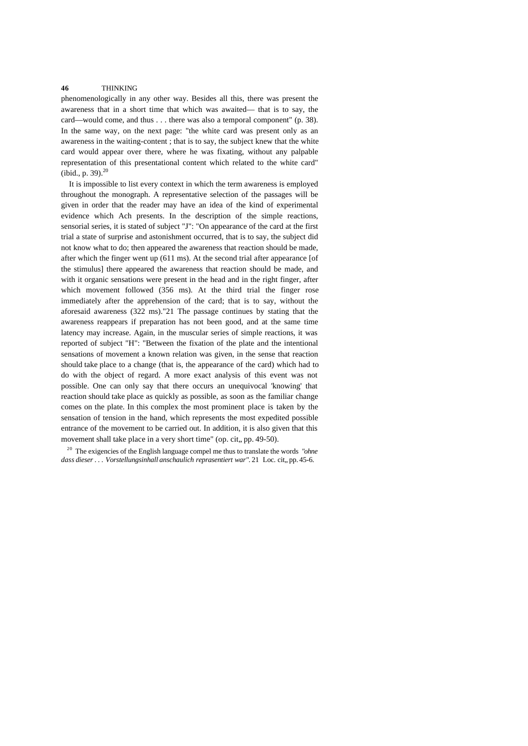phenomenologically in any other way. Besides all this, there was present the awareness that in a short time that which was awaited— that is to say, the card—would come, and thus . . . there was also a temporal component" (p. 38). In the same way, on the next page: "the white card was present only as an awareness in the waiting-content ; that is to say, the subject knew that the white card would appear over there, where he was fixating, without any palpable representation of this presentational content which related to the white card" (ibid., p. 39).<sup>20</sup>

It is impossible to list every context in which the term awareness is employed throughout the monograph. A representative selection of the passages will be given in order that the reader may have an idea of the kind of experimental evidence which Ach presents. In the description of the simple reactions, sensorial series, it is stated of subject "J": "On appearance of the card at the first trial a state of surprise and astonishment occurred, that is to say, the subject did not know what to do; then appeared the awareness that reaction should be made, after which the finger went up (611 ms). At the second trial after appearance [of the stimulus] there appeared the awareness that reaction should be made, and with it organic sensations were present in the head and in the right finger, after which movement followed (356 ms). At the third trial the finger rose immediately after the apprehension of the card; that is to say, without the aforesaid awareness (322 ms)."21 The passage continues by stating that the awareness reappears if preparation has not been good, and at the same time latency may increase. Again, in the muscular series of simple reactions, it was reported of subject "H": "Between the fixation of the plate and the intentional sensations of movement a known relation was given, in the sense that reaction should take place to a change (that is, the appearance of the card) which had to do with the object of regard. A more exact analysis of this event was not possible. One can only say that there occurs an unequivocal 'knowing' that reaction should take place as quickly as possible, as soon as the familiar change comes on the plate. In this complex the most prominent place is taken by the sensation of tension in the hand, which represents the most expedited possible entrance of the movement to be carried out. In addition, it is also given that this movement shall take place in a very short time" (op. cit., pp. 49-50).

<sup>20</sup> The exigencies of the English language compel me thus to translate the words *"ohne* dass dieser . . . Vorstellungsinhall anschaulich reprasentiert war". 21 Loc. cit., pp. 45-6.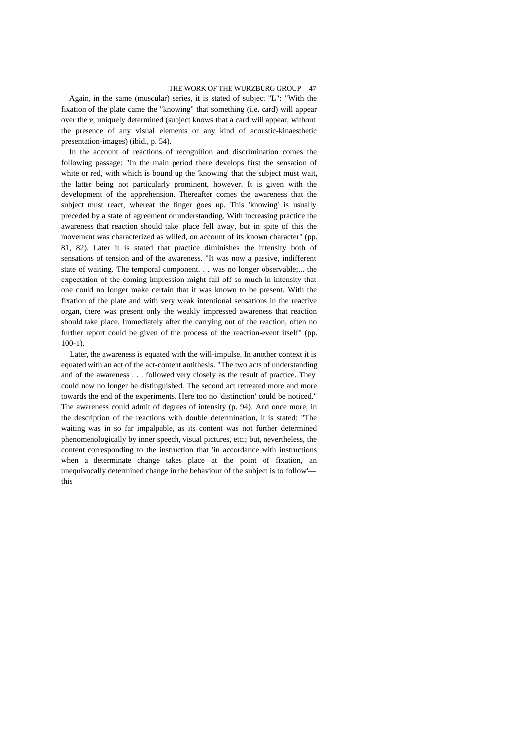Again, in the same (muscular) series, it is stated of subject "L": "With the fixation of the plate came the "knowing" that something (i.e. card) will appear over there, uniquely determined (subject knows that a card will appear, without the presence of any visual elements or any kind of acoustic-kinaesthetic presentation-images) (ibid., p. 54).

In the account of reactions of recognition and discrimination comes the following passage: "In the main period there develops first the sensation of white or red, with which is bound up the 'knowing' that the subject must wait, the latter being not particularly prominent, however. It is given with the development of the apprehension. Thereafter comes the awareness that the subject must react, whereat the finger goes up. This 'knowing' is usually preceded by a state of agreement or understanding. With increasing practice the awareness that reaction should take place fell away, but in spite of this the movement was characterized as willed, on account of its known character" (pp. 81, 82). Later it is stated that practice diminishes the intensity both of sensations of tension and of the awareness. "It was now a passive, indifferent state of waiting. The temporal component. . . was no longer observable;... the expectation of the coming impression might fall off so much in intensity that one could no longer make certain that it was known to be present. With the fixation of the plate and with very weak intentional sensations in the reactive organ, there was present only the weakly impressed awareness that reaction should take place. Immediately after the carrying out of the reaction, often no further report could be given of the process of the reaction-event itself" (pp. 100-1).

Later, the awareness is equated with the will-impulse. In another context it is equated with an act of the act-content antithesis. "The two acts of understanding and of the awareness . . . followed very closely as the result of practice. They could now no longer be distinguished. The second act retreated more and more towards the end of the experiments. Here too no 'distinction' could be noticed." The awareness could admit of degrees of intensity (p. 94). And once more, in the description of the reactions with double determination, it is stated: "The waiting was in so far impalpable, as its content was not further determined phenomenologically by inner speech, visual pictures, etc.; but, nevertheless, the content corresponding to the instruction that 'in accordance with instructions when a determinate change takes place at the point of fixation, an unequivocally determined change in the behaviour of the subject is to follow' this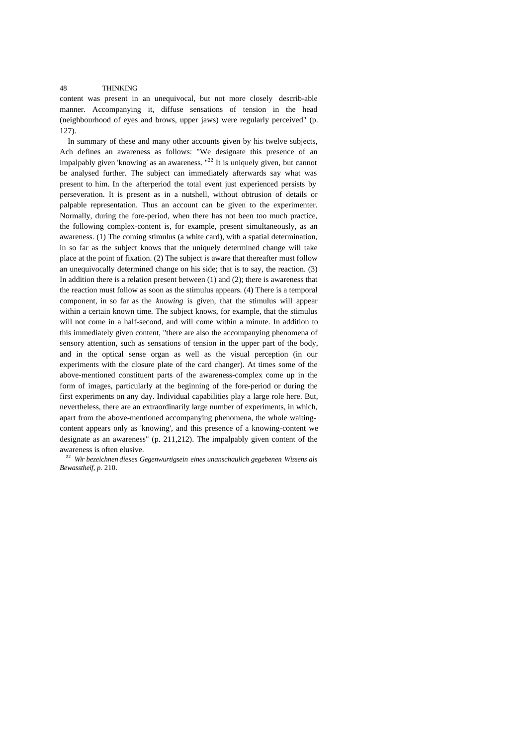content was present in an unequivocal, but not more closely describ-able manner. Accompanying it, diffuse sensations of tension in the head (neighbourhood of eyes and brows, upper jaws) were regularly perceived" (p. 127).

In summary of these and many other accounts given by his twelve subjects, Ach defines an awareness as follows: "We designate this presence of an impalpably given 'knowing' as an awareness.  $"^{22}$  It is uniquely given, but cannot be analysed further. The subject can immediately afterwards say what was present to him. In the afterperiod the total event just experienced persists by perseveration. It is present as in a nutshell, without obtrusion of details or palpable representation. Thus an account can be given to the experimenter. Normally, during the fore-period, when there has not been too much practice, the following complex-content is, for example, present simultaneously, as an awareness. (1) The coming stimulus (a white card), with a spatial determination, in so far as the subject knows that the uniquely determined change will take place at the point of fixation. (2) The subject is aware that thereafter must follow an unequivocally determined change on his side; that is to say, the reaction. (3) In addition there is a relation present between  $(1)$  and  $(2)$ ; there is awareness that the reaction must follow as soon as the stimulus appears. (4) There is a temporal component, in so far as the *knowing* is given, that the stimulus will appear within a certain known time. The subject knows, for example, that the stimulus will not come in a half-second, and will come within a minute. In addition to this immediately given content, "there are also the accompanying phenomena of sensory attention, such as sensations of tension in the upper part of the body, and in the optical sense organ as well as the visual perception (in our experiments with the closure plate of the card changer). At times some of the above-mentioned constituent parts of the awareness-complex come up in the form of images, particularly at the beginning of the fore-period or during the first experiments on any day. Individual capabilities play a large role here. But, nevertheless, there are an extraordinarily large number of experiments, in which, apart from the above-mentioned accompanying phenomena, the whole waitingcontent appears only as 'knowing', and this presence of a knowing-content we designate as an awareness" (p. 211,212). The impalpably given content of the awareness is often elusive.

22 *Wir bezeichnen dieses Gegenwurtigsein eines unanschaulich gegebenen Wissens als Bewasstheif, p.* 210.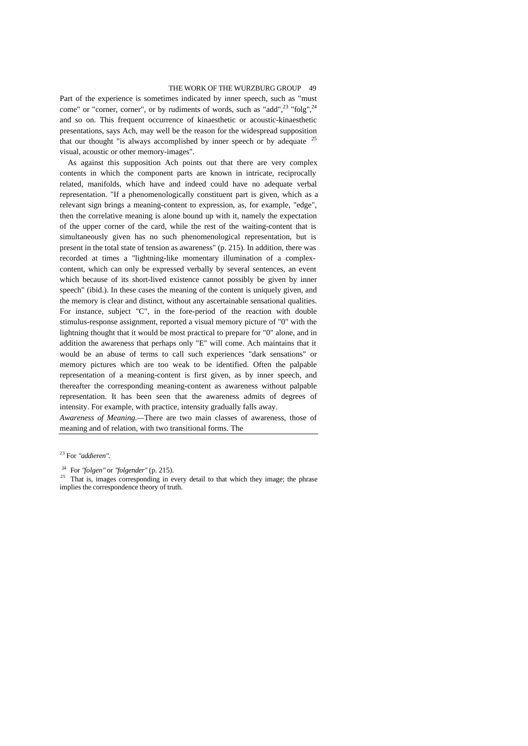Part of the experience is sometimes indicated by inner speech, such as "must come" or "corner, corner", or by rudiments of words, such as "add", $^{23}$  "folg", $^{24}$ and so on. This frequent occurrence of kinaesthetic or acoustic-kinaesthetic presentations, says Ach, may well be the reason for the widespread supposition that our thought "is always accomplished by inner speech or by adequate  $25$ visual, acoustic or other memory-images".

As against this supposition Ach points out that there are very complex contents in which the component parts are known in intricate, reciprocally related, manifolds, which have and indeed could have no adequate verbal representation. "If a phenomenologically constituent part is given, which as a relevant sign brings a meaning-content to expression, as, for example, "edge", then the correlative meaning is alone bound up with it, namely the expectation of the upper corner of the card, while the rest of the waiting-content that is simultaneously given has no such phenomenological representation, but is present in the total state of tension as awareness" (p. 215). In addition, there was recorded at times a "lightning-like momentary illumination of a complexcontent, which can only be expressed verbally by several sentences, an event which because of its short-lived existence cannot possibly be given by inner speech" (ibid.). In these cases the meaning of the content is uniquely given, and the memory is clear and distinct, without any ascertainable sensational qualities. For instance, subject "C", in the fore-period of the reaction with double stimulus-response assignment, reported a visual memory picture of "0" with the lightning thought that it would be most practical to prepare for "0" alone, and in addition the awareness that perhaps only "E" will come. Ach maintains that it would be an abuse of terms to call such experiences "dark sensations" or memory pictures which are too weak to be identified. Often the palpable representation of a meaning-content is first given, as by inner speech, and thereafter the corresponding meaning-content as awareness without palpable representation. It has been seen that the awareness admits of degrees of intensity. For example, with practice, intensity gradually falls away.

*Awareness of Meaning.—*There are two main classes of awareness, those of meaning and of relation, with two transitional forms. The

<sup>23</sup> For *"addieren".*

<sup>24</sup> For *"folgen"* or *"folgender"* (p. 215).

<sup>&</sup>lt;sup>25</sup> That is, images corresponding in every detail to that which they image; the phrase implies the correspondence theory of truth.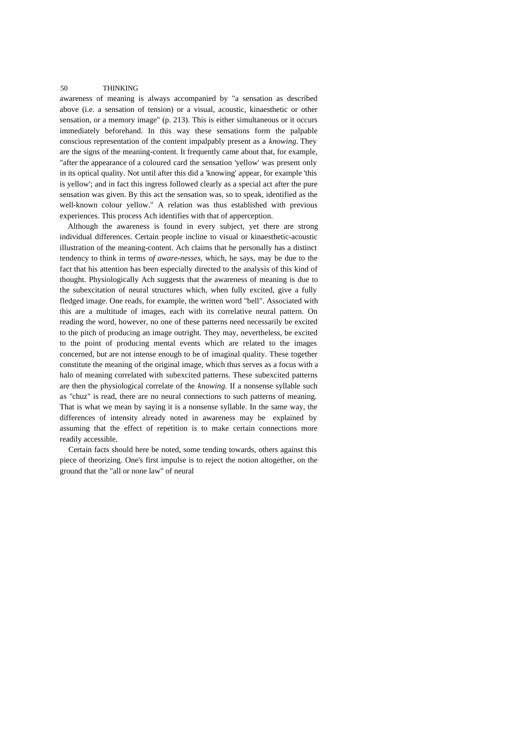awareness of meaning is always accompanied by "a sensation as described above (i.e. a sensation of tension) or a visual, acoustic, kinaesthetic or other sensation, or a memory image" (p. 213). This is either simultaneous or it occurs immediately beforehand. In this way these sensations form the palpable conscious representation of the content impalpably present as a *knowing.* They are the signs of the meaning-content. It frequently came about that, for example, "after the appearance of a coloured card the sensation 'yellow' was present only in its optical quality. Not until after this did a 'knowing' appear, for example 'this is yellow'; and in fact this ingress followed clearly as a special act after the pure sensation was given. By this act the sensation was, so to speak, identified as the well-known colour yellow." A relation was thus established with previous experiences. This process Ach identifies with that of apperception.

Although the awareness is found in every subject, yet there are strong individual differences. Certain people incline to visual or kinaesthetic-acoustic illustration of the meaning-content. Ach claims that he personally has a distinct tendency to think in terms *of aware-nesses,* which, he says, may be due to the fact that his attention has been especially directed to the analysis of this kind of thought. Physiologically Ach suggests that the awareness of meaning is due to the subexcitation of neural structures which, when fully excited, give a fully fledged image. One reads, for example, the written word "bell". Associated with this are a multitude of images, each with its correlative neural pattern. On reading the word, however, no one of these patterns need necessarily be excited to the pitch of producing an image outright. They may, nevertheless, be excited to the point of producing mental events which are related to the images concerned, but are not intense enough to be of imaginal quality. These together constitute the meaning of the original image, which thus serves as a focus with a halo of meaning correlated with subexcited patterns. These subexcited patterns are then the physiological correlate of the *knowing.* If a nonsense syllable such as "chuz" is read, there are no neural connections to such patterns of meaning. That is what we mean by saying it is a nonsense syllable. In the same way, the differences of intensity already noted in awareness may be explained by assuming that the effect of repetition is to make certain connections more readily accessible.

Certain facts should here be noted, some tending towards, others against this piece of theorizing. One's first impulse is to reject the notion altogether, on the ground that the "all or none law" of neural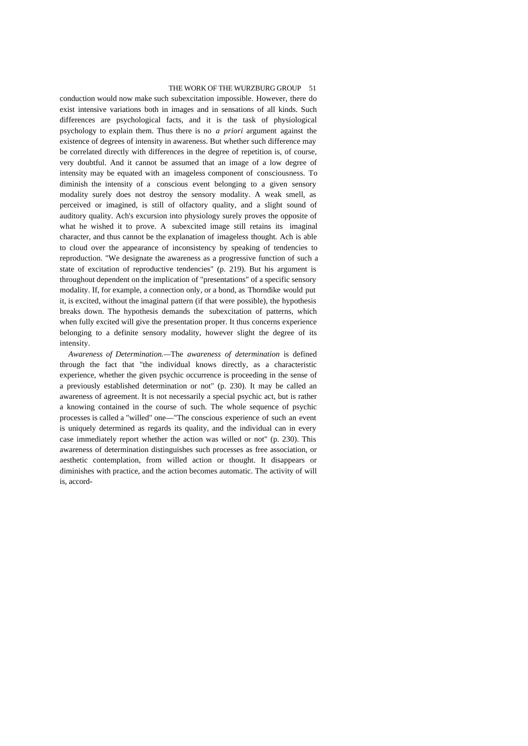conduction would now make such subexcitation impossible. However, there do exist intensive variations both in images and in sensations of all kinds. Such differences are psychological facts, and it is the task of physiological psychology to explain them. Thus there is no *a priori* argument against the existence of degrees of intensity in awareness. But whether such difference may be correlated directly with differences in the degree of repetition is, of course, very doubtful. And it cannot be assumed that an image of a low degree of intensity may be equated with an imageless component of consciousness. To diminish the intensity of a conscious event belonging to a given sensory modality surely does not destroy the sensory modality. A weak smell, as perceived or imagined, is still of olfactory quality, and a slight sound of auditory quality. Ach's excursion into physiology surely proves the opposite of what he wished it to prove. A subexcited image still retains its imaginal character, and thus cannot be the explanation of imageless thought. Ach is able to cloud over the appearance of inconsistency by speaking of tendencies to reproduction. "We designate the awareness as a progressive function of such a state of excitation of reproductive tendencies" (p. 219). But his argument is throughout dependent on the implication of "presentations" of a specific sensory modality. If, for example, a connection only, or a bond, as Thorndike would put it, is excited, without the imaginal pattern (if that were possible), the hypothesis breaks down. The hypothesis demands the subexcitation of patterns, which when fully excited will give the presentation proper. It thus concerns experience belonging to a definite sensory modality, however slight the degree of its intensity.

*Awareness of Determination.—*The *awareness of determination* is defined through the fact that "the individual knows directly, as a characteristic experience, whether the given psychic occurrence is proceeding in the sense of a previously established determination or not" (p. 230). It may be called an awareness of agreement. It is not necessarily a special psychic act, but is rather a knowing contained in the course of such. The whole sequence of psychic processes is called a "willed" one—"The conscious experience of such an event is uniquely determined as regards its quality, and the individual can in every case immediately report whether the action was willed or not" (p. 230). This awareness of determination distinguishes such processes as free association, or aesthetic contemplation, from willed action or thought. It disappears or diminishes with practice, and the action becomes automatic. The activity of will is, accord-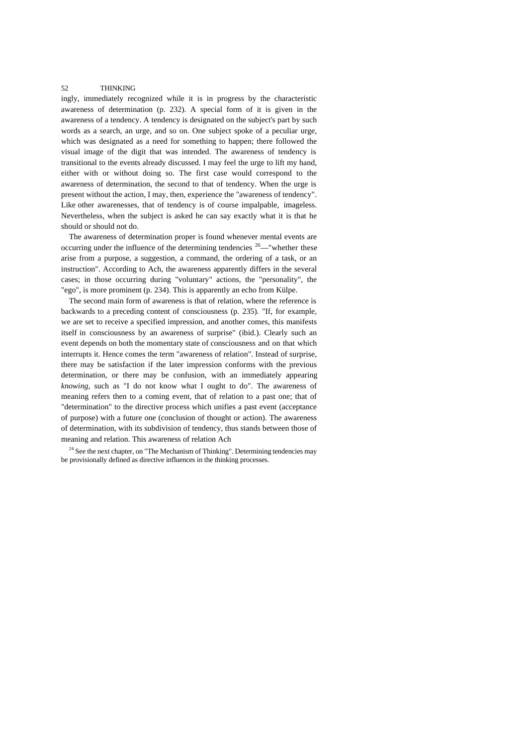ingly, immediately recognized while it is in progress by the characteristic awareness of determination (p. 232). A special form of it is given in the awareness of a tendency. A tendency is designated on the subject's part by such words as a search, an urge, and so on. One subject spoke of a peculiar urge, which was designated as a need for something to happen; there followed the visual image of the digit that was intended. The awareness of tendency is transitional to the events already discussed. I may feel the urge to lift my hand, either with or without doing so. The first case would correspond to the awareness of determination, the second to that of tendency. When the urge is present without the action, I may, then, experience the "awareness of tendency". Like other awarenesses, that of tendency is of course impalpable, imageless. Nevertheless, when the subject is asked he can say exactly what it is that he should or should not do.

The awareness of determination proper is found whenever mental events are occurring under the influence of the determining tendencies  $26$ —"whether these arise from a purpose, a suggestion, a command, the ordering of a task, or an instruction". According to Ach, the awareness apparently differs in the several cases; in those occurring during "voluntary" actions, the "personality", the "ego", is more prominent (p. 234). This is apparently an echo from Külpe.

The second main form of awareness is that of relation, where the reference is backwards to a preceding content of consciousness (p. 235). "If, for example, we are set to receive a specified impression, and another comes, this manifests itself in consciousness by an awareness of surprise" (ibid.). Clearly such an event depends on both the momentary state of consciousness and on that which interrupts it. Hence comes the term "awareness of relation". Instead of surprise, there may be satisfaction if the later impression conforms with the previous determination, or there may be confusion, with an immediately appearing *knowing,* such as "I do not know what I ought to do". The awareness of meaning refers then to a coming event, that of relation to a past one; that of "determination" to the directive process which unifies a past event (acceptance of purpose) with a future one (conclusion of thought or action). The awareness of determination, with its subdivision of tendency, thus stands between those of meaning and relation. This awareness of relation Ach

 $26$  See the next chapter, on "The Mechanism of Thinking". Determining tendencies may be provisionally defined as directive influences in the thinking processes.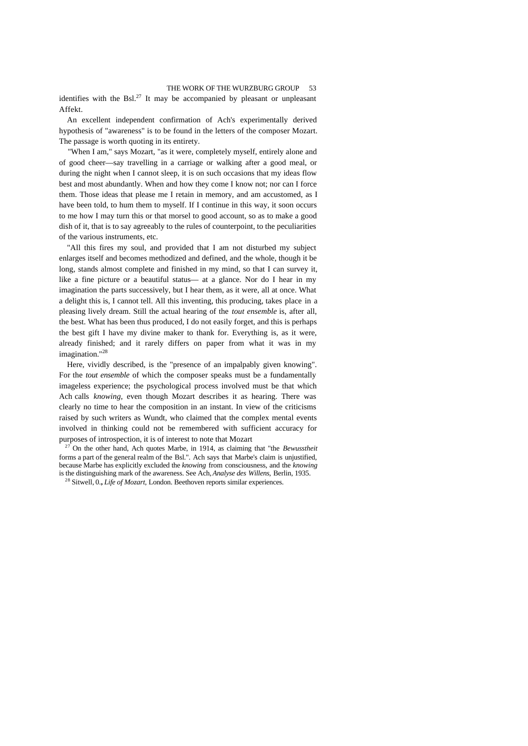identifies with the Bsl.<sup>27</sup> It may be accompanied by pleasant or unpleasant Affekt.

An excellent independent confirmation of Ach's experimentally derived hypothesis of "awareness" is to be found in the letters of the composer Mozart. The passage is worth quoting in its entirety.

"When I am," says Mozart, "as it were, completely myself, entirely alone and of good cheer—say travelling in a carriage or walking after a good meal, or during the night when I cannot sleep, it is on such occasions that my ideas flow best and most abundantly. When and how they come I know not; nor can I force them. Those ideas that please me I retain in memory, and am accustomed, as I have been told, to hum them to myself. If I continue in this way, it soon occurs to me how I may turn this or that morsel to good account, so as to make a good dish of it, that is to say agreeably to the rules of counterpoint, to the peculiarities of the various instruments, etc.

"All this fires my soul, and provided that I am not disturbed my subject enlarges itself and becomes methodized and defined, and the whole, though it be long, stands almost complete and finished in my mind, so that I can survey it, like a fine picture or a beautiful status— at a glance. Nor do I hear in my imagination the parts successively, but I hear them, as it were, all at once. What a delight this is, I cannot tell. All this inventing, this producing, takes place in a pleasing lively dream. Still the actual hearing of the *tout ensemble* is, after all, the best. What has been thus produced, I do not easily forget, and this is perhaps the best gift I have my divine maker to thank for. Everything is, as it were, already finished; and it rarely differs on paper from what it was in my imagination."<sup>28</sup>

Here, vividly described, is the "presence of an impalpably given knowing". For the *tout ensemble* of which the composer speaks must be a fundamentally imageless experience; the psychological process involved must be that which Ach calls *knowing,* even though Mozart describes it as hearing. There was clearly no time to hear the composition in an instant. In view of the criticisms raised by such writers as Wundt, who claimed that the complex mental events involved in thinking could not be remembered with sufficient accuracy for purposes of introspection, it is of interest to note that Mozart

<sup>27</sup> On the other hand, Ach quotes Marbe, in 1914, as claiming that "the *Bewusstheit* forms a part of the general realm of the Bsl.". Ach says that Marbe's claim is unjustified, because Marbe has explicitly excluded the *knowing* from consciousness, and the *knowing* is the distinguishing mark of the awareness. See Ach, *Analyse des Willens,* Berlin, 1935.

<sup>28</sup> Sitwell, 0.**,** *Life of Mozart,* London. Beethoven reports similar experiences.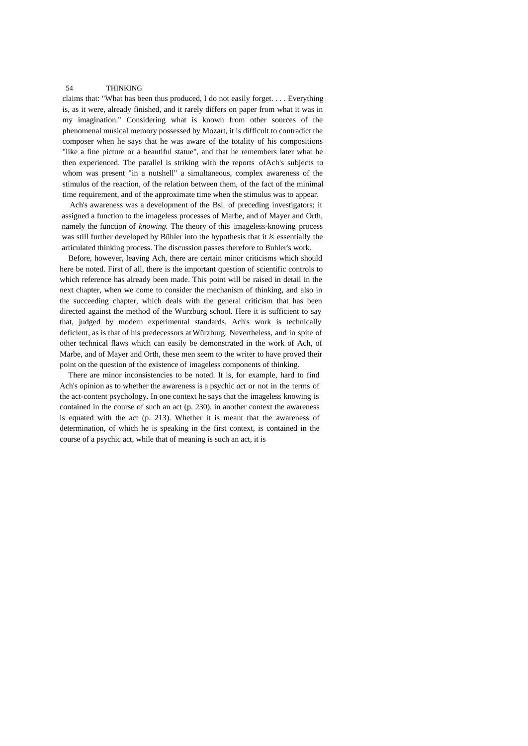claims that: "What has been thus produced, I do not easily forget. . . . Everything is, as it were, already finished, and it rarely differs on paper from what it was in my imagination." Considering what is known from other sources of the phenomenal musical memory possessed by Mozart, it is difficult to contradict the composer when he says that he was aware of the totality of his compositions "like a fine picture or a beautiful statue", and that he remembers later what he then experienced. The parallel is striking with the reports ofAch's subjects to whom was present "in a nutshell" a simultaneous, complex awareness of the stimulus of the reaction, of the relation between them, of the fact of the minimal time requirement, and of the approximate time when the stimulus was to appear.

Ach's awareness was a development of the Bsl. of preceding investigators; it assigned a function to the imageless processes of Marbe, and of Mayer and Orth, namely the function of *knowing.* The theory of this imageless-knowing process was still further developed by Bühler into the hypothesis that it *is* essentially the articulated thinking process. The discussion passes therefore to Buhler's work.

Before, however, leaving Ach, there are certain minor criticisms which should here be noted. First of all, there is the important question of scientific controls to which reference has already been made. This point will be raised in detail in the next chapter, when we come to consider the mechanism of thinking, and also in the succeeding chapter, which deals with the general criticism that has been directed against the method of the Wurzburg school. Here it is sufficient to say that, judged by modern experimental standards, Ach's work is technically deficient, as is that of his predecessors at Würzburg. Nevertheless, and in spite of other technical flaws which can easily be demonstrated in the work of Ach, of Marbe, and of Mayer and Orth, these men seem to the writer to have proved their point on the question of the existence of imageless components of thinking.

There are minor inconsistencies to be noted. It is, for example, hard to find Ach's opinion as to whether the awareness is a psychic *act* or not in the terms of the act-content psychology. In one context he says that the imageless knowing is contained in the course of such an act (p. 230), in another context the awareness is equated with the act (p. 213). Whether it is meant that the awareness of determination, of which he is speaking in the first context, is contained in the course of a psychic act, while that of meaning is such an act, it is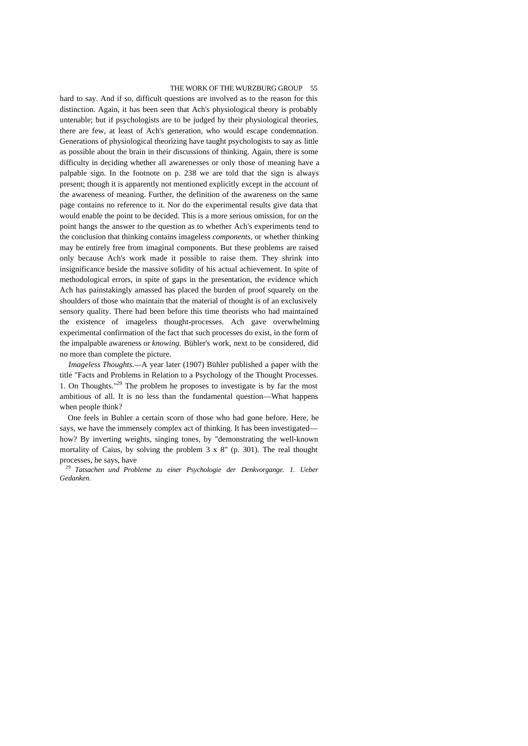hard to say. And if so, difficult questions are involved as to the reason for this distinction. Again, it has been seen that Ach's physiological theory is probably untenable; but if psychologists are to be judged by their physiological theories, there are few, at least of Ach's generation, who would escape condemnation. Generations of physiological theorizing have taught psychologists to say as little as possible about the brain in their discussions of thinking. Again, there is some difficulty in deciding whether all awarenesses or only those of meaning have a palpable sign. In the footnote on p. 238 we are told that the sign is always present; though it is apparently not mentioned explicitly except in the account of the awareness of meaning. Further, the definition of the awareness on the same page contains no reference to it. Nor do the experimental results give data that would enable the point to be decided. This is a more serious omission, for on the point hangs the answer to the question as to whether Ach's experiments tend to the conclusion that thinking contains imageless *components,* or whether thinking may be entirely free from imaginal components. But these problems are raised only because Ach's work made it possible to raise them. They shrink into insignificance beside the massive solidity of his actual achievement. In spite of methodological errors, in spite of gaps in the presentation, the evidence which Ach has painstakingly amassed has placed the burden of proof squarely on the shoulders of those who maintain that the material of thought is of an exclusively sensory quality. There had been before this time theorists who had maintained the existence of imageless thought-processes. Ach gave overwhelming experimental confirmation of the fact that such processes do exist, in the form of the impalpable awareness or *knowing.* Bühler's work, next to be considered, did no more than complete the picture.

*Imageless Thoughts.—*A year later (1907) Bühler published a paper with the title "Facts and Problems in Relation to a Psychology of the Thought Processes. 1. On Thoughts."<sup>29</sup> The problem he proposes to investigate is by far the most ambitious of all. It is no less than the fundamental question—What happens when people think?

One feels in Buhler a certain scorn of those who had gone before. Here, he says, we have the immensely complex act of thinking. It has been investigated how? By inverting weights, singing tones, by "demonstrating the well-known mortality of Caius, by solving the problem 3 x 8" (p. 301). The real thought processes, he says, have

<sup>29</sup> *Tatsachen und Probleme zu einer Psychologie der Denkvorgange. 1. Ueber Gedanken.*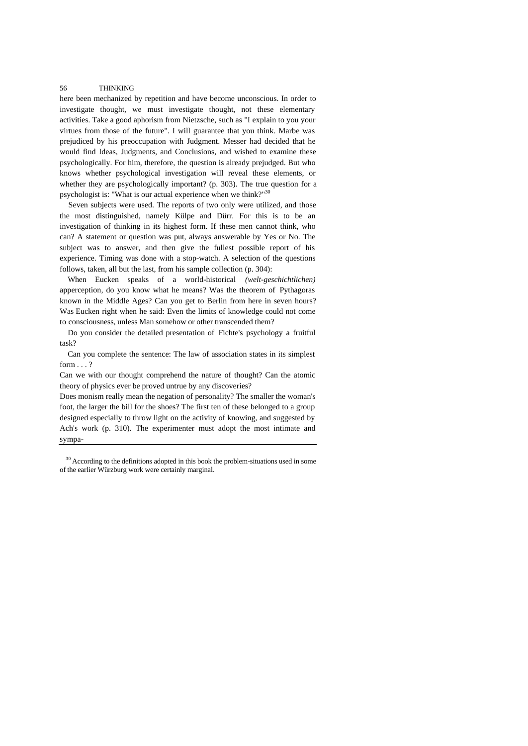here been mechanized by repetition and have become unconscious. In order to investigate thought, we must investigate thought, not these elementary activities. Take a good aphorism from Nietzsche, such as "I explain to you your virtues from those of the future". I will guarantee that you think. Marbe was prejudiced by his preoccupation with Judgment. Messer had decided that he would find Ideas, Judgments, and Conclusions, and wished to examine these psychologically. For him, therefore, the question is already prejudged. But who knows whether psychological investigation will reveal these elements, or whether they are psychologically important? (p. 303). The true question for a psychologist is: "What is our actual experience when we think?"<sup>30</sup>

Seven subjects were used. The reports of two only were utilized, and those the most distinguished, namely Külpe and Dürr. For this is to be an investigation of thinking in its highest form. If these men cannot think, who can? A statement or question was put, always answerable by Yes or No. The subject was to answer, and then give the fullest possible report of his experience. Timing was done with a stop-watch. A selection of the questions follows, taken, all but the last, from his sample collection (p. 304):

When Eucken speaks of a world-historical *(welt-geschichtlichen)* apperception, do you know what he means? Was the theorem of Pythagoras known in the Middle Ages? Can you get to Berlin from here in seven hours? Was Eucken right when he said: Even the limits of knowledge could not come to consciousness, unless Man somehow or other transcended them?

Do you consider the detailed presentation of Fichte's psychology a fruitful task?

Can you complete the sentence: The law of association states in its simplest form  $\ldots$  ?

Can we with our thought comprehend the nature of thought? Can the atomic theory of physics ever be proved untrue by any discoveries?

Does monism really mean the negation of personality? The smaller the woman's foot, the larger the bill for the shoes? The first ten of these belonged to a group designed especially to throw light on the activity of knowing, and suggested by Ach's work (p. 310). The experimenter must adopt the most intimate and sympa-

<sup>30</sup> According to the definitions adopted in this book the problem-situations used in some of the earlier Würzburg work were certainly marginal.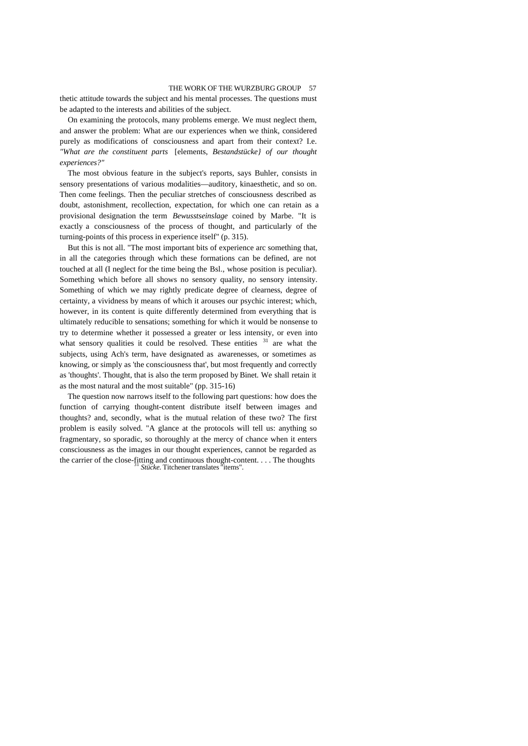thetic attitude towards the subject and his mental processes. The questions must be adapted to the interests and abilities of the subject.

On examining the protocols, many problems emerge. We must neglect them, and answer the problem: What are our experiences when we think, considered purely as modifications of consciousness and apart from their context? I.e. *"What are the constituent parts* [elements, *Bestandstücke} of our thought experiences?"*

The most obvious feature in the subject's reports, says Buhler, consists in sensory presentations of various modalities—auditory, kinaesthetic, and so on. Then come feelings. Then the peculiar stretches of consciousness described as doubt, astonishment, recollection, expectation, for which one can retain as a provisional designation the term *Bewusstseinslage* coined by Marbe. "It is exactly a consciousness of the process of thought, and particularly of the turning-points of this process in experience itself" (p. 315).

But this is not all. "The most important bits of experience arc something that, in all the categories through which these formations can be defined, are not touched at all (I neglect for the time being the Bsl., whose position is peculiar). Something which before all shows no sensory quality, no sensory intensity. Something of which we may rightly predicate degree of clearness, degree of certainty, a vividness by means of which it arouses our psychic interest; which, however, in its content is quite differently determined from everything that is ultimately reducible to sensations; something for which it would be nonsense to try to determine whether it possessed a greater or less intensity, or even into what sensory qualities it could be resolved. These entities  $31$  are what the subjects, using Ach's term, have designated as awarenesses, or sometimes as knowing, or simply as 'the consciousness that', but most frequently and correctly as 'thoughts'. Thought, that is also the term proposed by Binet. We shall retain it as the most natural and the most suitable" (pp. 315-16)

The question now narrows itself to the following part questions: how does the function of carrying thought-content distribute itself between images and thoughts? and, secondly, what is the mutual relation of these two? The first problem is easily solved. "A glance at the protocols will tell us: anything so fragmentary, so sporadic, so thoroughly at the mercy of chance when it enters consciousness as the images in our thought experiences, cannot be regarded as the carrier of the close-fitting and continuous thought-content. . . . The thoughts <sup>31</sup> *Stücke.* Titchener translates "items".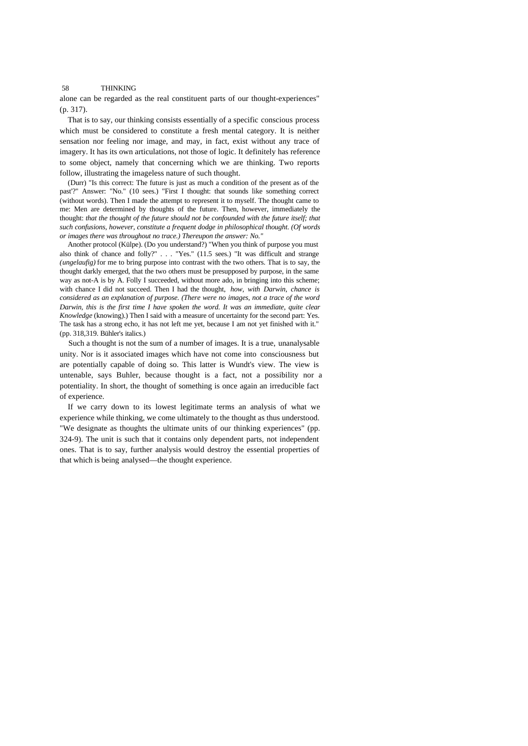alone can be regarded as the real constituent parts of our thought-experiences" (p. 317).

That is to say, our thinking consists essentially of a specific conscious process which must be considered to constitute a fresh mental category. It is neither sensation nor feeling nor image, and may, in fact, exist without any trace of imagery. It has its own articulations, not those of logic. It definitely has reference to some object, namely that concerning which we are thinking. Two reports follow, illustrating the imageless nature of such thought.

(Durr) "Is this correct: The future is just as much a condition of the present as of the past'?" Answer: "No." (10 sees.) "First I thought: that sounds like something correct (without words). Then I made the attempt to represent it to myself. The thought came to me: Men are determined by thoughts of the future. Then, however, immediately the thought: *that the thought of the future should not be confounded with the future itself; that such confusions, however, constitute a frequent dodge in philosophical thought. (Of words or images there was throughout no trace.) Thereupon the answer: No."*

Another protocol (Külpe). (Do you understand?) "When you think of purpose you must also think of chance and folly?" . . . "Yes." (11.5 sees.) "It was difficult and strange *(ungelaufig)* for me to bring purpose into contrast with the two others. That is to say, the thought darkly emerged, that the two others must be presupposed by purpose, in the same way as not-A is by A. Folly I succeeded, without more ado, in bringing into this scheme; with chance I did not succeed. Then I had the thought, *how, with Darwin, chance is considered as an explanation of purpose. (There were no images, not a trace of the word Darwin, this is the first time I have spoken the word. It was an immediate, quite clear Knowledge* (knowing).) Then I said with a measure of uncertainty for the second part: Yes. The task has a strong echo, it has not left me yet, because I am not yet finished with it." (pp. 318,319. Bühler's italics.)

Such a thought is not the sum of a number of images. It is a true, unanalysable unity. Nor is it associated images which have not come into consciousness but are potentially capable of doing so. This latter is Wundt's view. The view is untenable, says Buhler, because thought is a fact, not a possibility nor a potentiality. In short, the thought of something is once again an irreducible fact of experience.

If we carry down to its lowest legitimate terms an analysis of what we experience while thinking, we come ultimately to the thought as thus understood. "We designate as thoughts the ultimate units of our thinking experiences" (pp. 324-9). The unit is such that it contains only dependent parts, not independent ones. That is to say, further analysis would destroy the essential properties of that which is being analysed—the thought experience.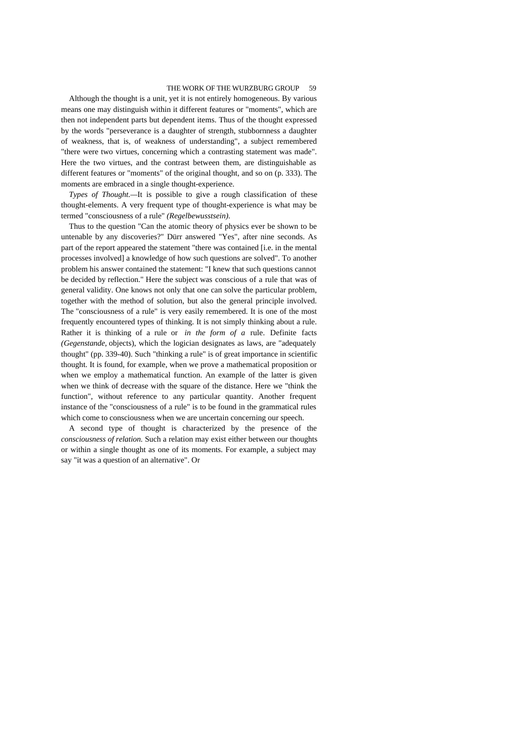Although the thought is a unit, yet it is not entirely homogeneous. By various means one may distinguish within it different features or "moments", which are then not independent parts but dependent items. Thus of the thought expressed by the words "perseverance is a daughter of strength, stubbornness a daughter of weakness, that is, of weakness of understanding", a subject remembered "there were two virtues, concerning which a contrasting statement was made". Here the two virtues, and the contrast between them, are distinguishable as different features or "moments" of the original thought, and so on (p. 333). The moments are embraced in a single thought-experience.

*Types of Thought.—*It is possible to give a rough classification of these thought-elements. A very frequent type of thought-experience is what may be termed "consciousness of a rule" *(Regelbewusstsein).*

Thus to the question "Can the atomic theory of physics ever be shown to be untenable by any discoveries?" Dürr answered "Yes", after nine seconds. As part of the report appeared the statement "there was contained [i.e. in the mental processes involved] a knowledge of how such questions are solved". To another problem his answer contained the statement: "I knew that such questions cannot be decided by reflection." Here the subject was conscious of a rule that was of general validity. One knows not only that one can solve the particular problem, together with the method of solution, but also the general principle involved. The "consciousness of a rule" is very easily remembered. It is one of the most frequently encountered types of thinking. It is not simply thinking about a rule. Rather it is thinking of a rule or *in the form of a* rule. Definite facts *(Gegenstande,* objects), which the logician designates as laws, are "adequately thought" (pp. 339-40). Such "thinking a rule" is of great importance in scientific thought. It is found, for example, when we prove a mathematical proposition or when we employ a mathematical function. An example of the latter is given when we think of decrease with the square of the distance. Here we "think the function", without reference to any particular quantity. Another frequent instance of the "consciousness of a rule" is to be found in the grammatical rules which come to consciousness when we are uncertain concerning our speech.

A second type of thought is characterized by the presence of the *consciousness of relation.* Such a relation may exist either between our thoughts or within a single thought as one of its moments. For example, a subject may say "it was a question of an alternative". Or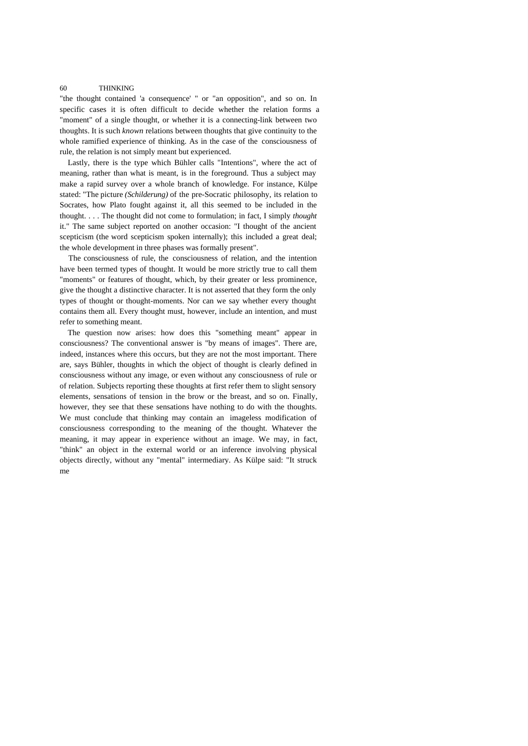"the thought contained 'a consequence' " or "an opposition", and so on. In specific cases it is often difficult to decide whether the relation forms a "moment" of a single thought, or whether it is a connecting-link between two thoughts. It is such *known* relations between thoughts that give continuity to the whole ramified experience of thinking. As in the case of the consciousness of rule, the relation is not simply meant but experienced.

Lastly, there is the type which Bühler calls "Intentions", where the act of meaning, rather than what is meant, is in the foreground. Thus a subject may make a rapid survey over a whole branch of knowledge. For instance, Külpe stated: "The picture *(Schilderung)* of the pre-Socratic philosophy, its relation to Socrates, how Plato fought against it, all this seemed to be included in the thought. . . . The thought did not come to formulation; in fact, I simply *thought* it." The same subject reported on another occasion: "I thought of the ancient scepticism (the word scepticism spoken internally); this included a great deal; the whole development in three phases was formally present".

The consciousness of rule, the consciousness of relation, and the intention have been termed types of thought. It would be more strictly true to call them "moments" or features of thought, which, by their greater or less prominence, give the thought a distinctive character. It is not asserted that they form the only types of thought or thought-moments. Nor can we say whether every thought contains them all. Every thought must, however, include an intention, and must refer to something meant.

The question now arises: how does this "something meant" appear in consciousness? The conventional answer is "by means of images". There are, indeed, instances where this occurs, but they are not the most important. There are, says Bühler, thoughts in which the object of thought is clearly defined in consciousness without any image, or even without any consciousness of rule or of relation. Subjects reporting these thoughts at first refer them to slight sensory elements, sensations of tension in the brow or the breast, and so on. Finally, however, they see that these sensations have nothing to do with the thoughts. We must conclude that thinking may contain an imageless modification of consciousness corresponding to the meaning of the thought. Whatever the meaning, it may appear in experience without an image. We may, in fact, "think" an object in the external world or an inference involving physical objects directly, without any "mental" intermediary. As Külpe said: "It struck me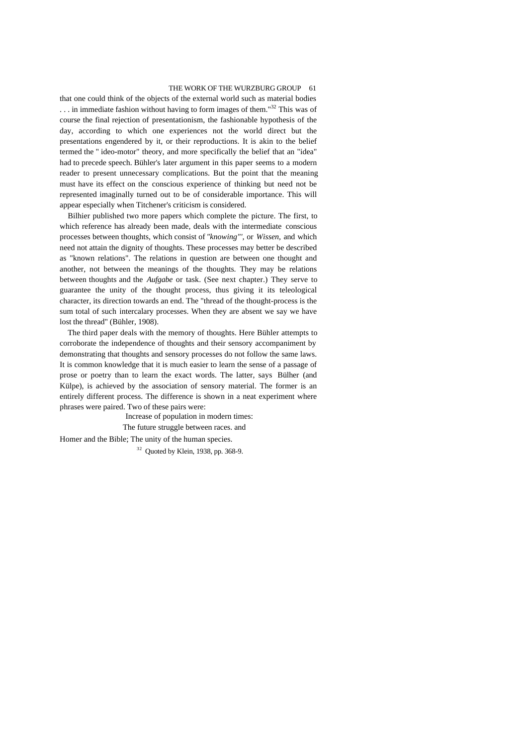that one could think of the objects of the external world such as material bodies ... in immediate fashion without having to form images of them."<sup>32</sup> This was of course the final rejection of presentationism, the fashionable hypothesis of the day, according to which one experiences not the world direct but the presentations engendered by it, or their reproductions. It is akin to the belief termed the " ideo-motor" theory, and more specifically the belief that an "idea" had to precede speech. Bühler's later argument in this paper seems to a modern reader to present unnecessary complications. But the point that the meaning must have its effect on the conscious experience of thinking but need not be represented imaginally turned out to be of considerable importance. This will appear especially when Titchener's criticism is considered.

Bilhier published two more papers which complete the picture. The first, to which reference has already been made, deals with the intermediate conscious processes between thoughts, which consist of *"knowing"',* or *Wissen,* and which need not attain the dignity of thoughts. These processes may better be described as "known relations". The relations in question are between one thought and another, not between the meanings of the thoughts. They may be relations between thoughts and the *Aufgabe* or task. (See next chapter.) They serve to guarantee the unity of the thought process, thus giving it its teleological character, its direction towards an end. The "thread of the thought-process is the sum total of such intercalary processes. When they are absent we say we have lost the thread" (Bühler, 1908).

The third paper deals with the memory of thoughts. Here Bühler attempts to corroborate the independence of thoughts and their sensory accompaniment by demonstrating that thoughts and sensory processes do not follow the same laws. It is common knowledge that it is much easier to learn the sense of a passage of prose or poetry than to learn the exact words. The latter, says Bülher (and Külpe), is achieved by the association of sensory material. The former is an entirely different process. The difference is shown in a neat experiment where phrases were paired. Two of these pairs were:

> Increase of population in modern times: The future struggle between races. and

Homer and the Bible; The unity of the human species.

<sup>32</sup> Quoted by Klein, 1938, pp. 368-9.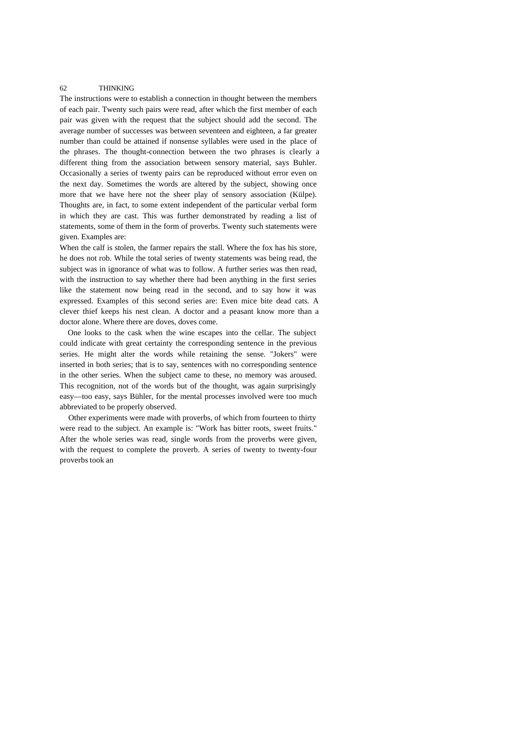The instructions were to establish a connection in thought between the members of each pair. Twenty such pairs were read, after which the first member of each pair was given with the request that the subject should add the second. The average number of successes was between seventeen and eighteen, a far greater number than could be attained if nonsense syllables were used in the place of the phrases. The thought-connection between the two phrases is clearly a different thing from the association between sensory material, says Buhler. Occasionally a series of twenty pairs can be reproduced without error even on the next day. Sometimes the words are altered by the subject, showing once more that we have here not the sheer play of sensory association (Külpe). Thoughts are, in fact, to some extent independent of the particular verbal form in which they are cast. This was further demonstrated by reading a list of statements, some of them in the form of proverbs. Twenty such statements were given. Examples are:

When the calf is stolen, the farmer repairs the stall. Where the fox has his store, he does not rob. While the total series of twenty statements was being read, the subject was in ignorance of what was to follow. A further series was then read, with the instruction to say whether there had been anything in the first series like the statement now being read in the second, and to say how it was expressed. Examples of this second series are: Even mice bite dead cats. A clever thief keeps his nest clean. A doctor and a peasant know more than a doctor alone. Where there are doves, doves come.

One looks to the cask when the wine escapes into the cellar. The subject could indicate with great certainty the corresponding sentence in the previous series. He might alter the words while retaining the sense. "Jokers" were inserted in both series; that is to say, sentences with no corresponding sentence in the other series. When the subject came to these, no memory was aroused. This recognition, not of the words but of the thought, was again surprisingly easy—too easy, says Bühler, for the mental processes involved were too much abbreviated to be properly observed.

Other experiments were made with proverbs, of which from fourteen to thirty were read to the subject. An example is: "Work has bitter roots, sweet fruits." After the whole series was read, single words from the proverbs were given, with the request to complete the proverb. A series of twenty to twenty-four proverbs took an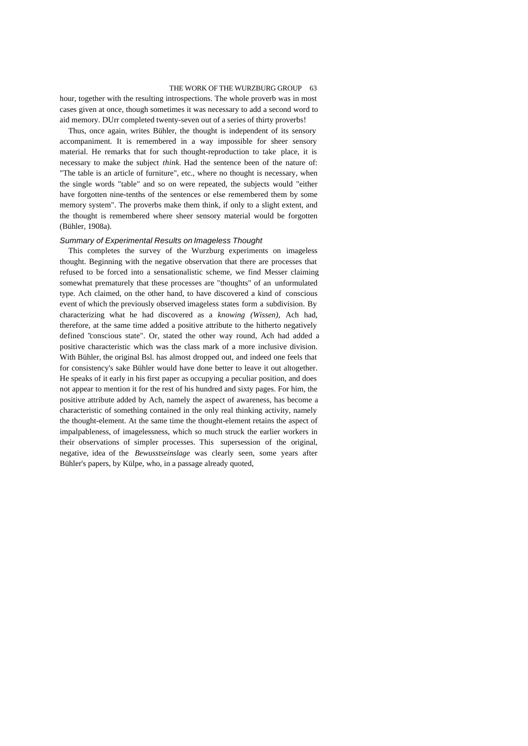hour, together with the resulting introspections. The whole proverb was in most cases given at once, though sometimes it was necessary to add a second word to aid memory. DUrr completed twenty-seven out of a series of thirty proverbs!

Thus, once again, writes Bühler, the thought is independent of its sensory accompaniment. It is remembered in a way impossible for sheer sensory material. He remarks that for such thought-reproduction to take place, it is necessary to make the subject *think.* Had the sentence been of the nature of: "The table is an article of furniture", etc., where no thought is necessary, when the single words "table" and so on were repeated, the subjects would "either have forgotten nine-tenths of the sentences or else remembered them by some memory system". The proverbs make them think, if only to a slight extent, and the thought is remembered where sheer sensory material would be forgotten (Bühler, 1908a).

### *Summary of Experimental Results on Imageless Thought*

This completes the survey of the Wurzburg experiments on imageless thought. Beginning with the negative observation that there are processes that refused to be forced into a sensationalistic scheme, we find Messer claiming somewhat prematurely that these processes are "thoughts" of an unformulated type. Ach claimed, on the other hand, to have discovered a kind of conscious event of which the previously observed imageless states form a subdivision. By characterizing what he had discovered as a *knowing (Wissen),* Ach had, therefore, at the same time added a positive attribute to the hitherto negatively defined "conscious state". Or, stated the other way round, Ach had added a positive characteristic which was the class mark of a more inclusive division. With Bühler, the original Bsl. has almost dropped out, and indeed one feels that for consistency's sake Bühler would have done better to leave it out altogether. He speaks of it early in his first paper as occupying a peculiar position, and does not appear to mention it for the rest of his hundred and sixty pages. For him, the positive attribute added by Ach, namely the aspect of awareness, has become a characteristic of something contained in the only real thinking activity, namely the thought-element. At the same time the thought-element retains the aspect of impalpableness, of imagelessness, which so much struck the earlier workers in their observations of simpler processes. This supersession of the original, negative, idea of the *Bewusstseinslage* was clearly seen, some years after Bühler's papers, by Külpe, who, in a passage already quoted,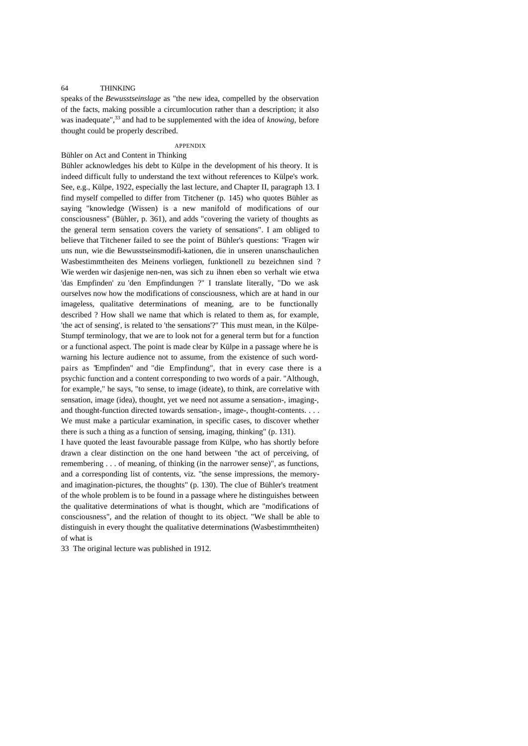speaks of the *Bewusstseinslage* as "the new idea, compelled by the observation of the facts, making possible a circumlocution rather than a description; it also was inadequate",<sup>33</sup> and had to be supplemented with the idea of *knowing,* before thought could be properly described.

# APPENDIX

# Bühler on Act and Content in Thinking

Bühler acknowledges his debt to Külpe in the development of his theory. It is indeed difficult fully to understand the text without references to Külpe's work. See, e.g., Külpe, 1922, especially the last lecture, and Chapter II, paragraph 13. I find myself compelled to differ from Titchener (p. 145) who quotes Bühler as saying "knowledge (Wissen) is a new manifold of modifications of our consciousness" (Bühler, p. 361), and adds "covering the variety of thoughts as the general term sensation covers the variety of sensations". I am obliged to believe that Titchener failed to see the point of Bühler's questions: "Fragen wir uns nun, wie die Bewusstseinsmodifi-kationen, die in unseren unanschaulichen Wasbestimmtheiten des Meinens vorliegen, funktionell zu bezeichnen sind ? Wie werden wir dasjenige nen-nen, was sich zu ihnen eben so verhalt wie etwa 'das Empfinden' zu 'den Empfindungen ?" I translate literally, "Do we ask ourselves now how the modifications of consciousness, which are at hand in our imageless, qualitative determinations of meaning, are to be functionally described ? How shall we name that which is related to them as, for example, 'the act of sensing', is related to 'the sensations'?" This must mean, in the Külpe-Stumpf terminology, that we are to look not for a general term but for a function or a functional aspect. The point is made clear by Külpe in a passage where he is warning his lecture audience not to assume, from the existence of such wordpairs as "Empfinden" and "die Empfindung", that in every case there is a psychic function and a content corresponding to two words of a pair. "Although, for example," he says, "to sense, to image (ideate), to think, are correlative with sensation, image (idea), thought, yet we need not assume a sensation-, imaging-, and thought-function directed towards sensation-, image-, thought-contents. . . . We must make a particular examination, in specific cases, to discover whether there is such a thing as a function of sensing, imaging, thinking" (p. 131).

I have quoted the least favourable passage from Külpe, who has shortly before drawn a clear distinction on the one hand between "the act of perceiving, of remembering . . . of meaning, of thinking (in the narrower sense)", as functions, and a corresponding list of contents, viz. "the sense impressions, the memoryand imagination-pictures, the thoughts" (p. 130). The clue of Bühler's treatment of the whole problem is to be found in a passage where he distinguishes between the qualitative determinations of what is thought, which are "modifications of consciousness", and the relation of thought to its object. "We shall be able to distinguish in every thought the qualitative determinations (Wasbestimmtheiten) of what is

33 The original lecture was published in 1912.